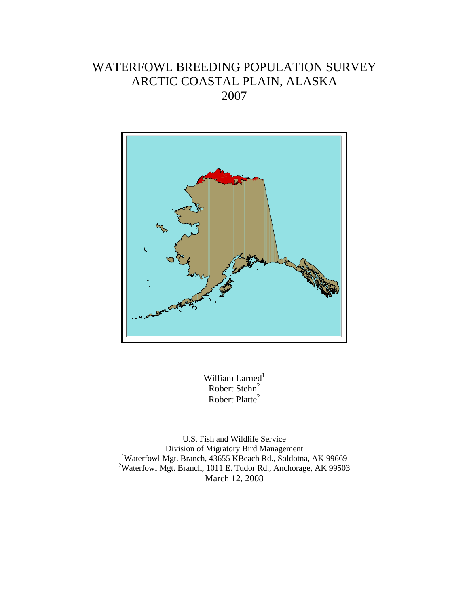# WATERFOWL BREEDING POPULATION SURVEY ARCTIC COASTAL PLAIN, ALASKA 2007



William Larned $^1$ Robert Stehn<sup>2</sup> Robert Platte<sup>2</sup>

U.S. Fish and Wildlife Service Division of Migratory Bird Management <sup>1</sup>Waterfowl Mgt. Branch, 43655 KBeach Rd., Soldotna, AK 99669 <sup>2</sup>Waterfowl Mgt. Branch, 1011 E. Tudor Rd., Anchorage, AK 99503 March 12, 2008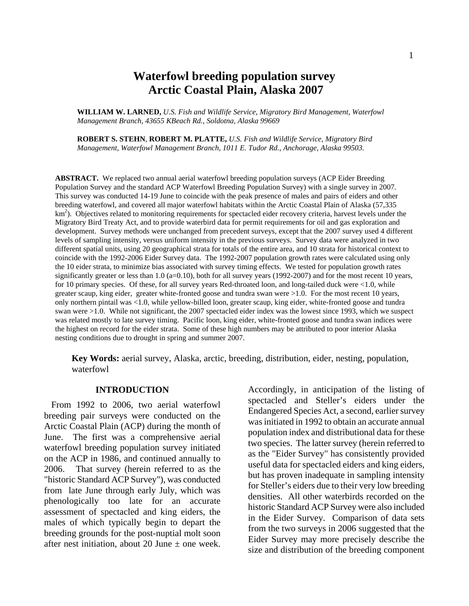## **Waterfowl breeding population survey Arctic Coastal Plain, Alaska 2007**

**WILLIAM W. LARNED,** *U.S. Fish and Wildlife Service, Migratory Bird Management, Waterfowl Management Branch, 43655 KBeach Rd., Soldotna, Alaska 99669*

**ROBERT S. STEHN**, **ROBERT M. PLATTE,** *U.S. Fish and Wildlife Service, Migratory Bird Management, Waterfowl Management Branch, 1011 E. Tudor Rd., Anchorage, Alaska 99503.* 

**ABSTRACT.** We replaced two annual aerial waterfowl breeding population surveys (ACP Eider Breeding Population Survey and the standard ACP Waterfowl Breeding Population Survey) with a single survey in 2007. This survey was conducted 14-19 June to coincide with the peak presence of males and pairs of eiders and other breeding waterfowl, and covered all major waterfowl habitats within the Arctic Coastal Plain of Alaska (57,335  $km<sup>2</sup>$ ). Objectives related to monitoring requirements for spectacled eider recovery criteria, harvest levels under the Migratory Bird Treaty Act, and to provide waterbird data for permit requirements for oil and gas exploration and development. Survey methods were unchanged from precedent surveys, except that the 2007 survey used 4 different levels of sampling intensity, versus uniform intensity in the previous surveys. Survey data were analyzed in two different spatial units, using 20 geographical strata for totals of the entire area, and 10 strata for historical context to coincide with the 1992-2006 Eider Survey data. The 1992-2007 population growth rates were calculated using only the 10 eider strata, to minimize bias associated with survey timing effects. We tested for population growth rates significantly greater or less than 1.0 (a=0.10), both for all survey years (1992-2007) and for the most recent 10 years, for 10 primary species. Of these, for all survey years Red-throated loon, and long-tailed duck were <1.0, while greater scaup, king eider, greater white-fronted goose and tundra swan were >1.0. For the most recent 10 years, only northern pintail was <1.0, while yellow-billed loon, greater scaup, king eider, white-fronted goose and tundra swan were >1.0. While not significant, the 2007 spectacled eider index was the lowest since 1993, which we suspect was related mostly to late survey timing. Pacific loon, king eider, white-fronted goose and tundra swan indices were the highest on record for the eider strata. Some of these high numbers may be attributed to poor interior Alaska nesting conditions due to drought in spring and summer 2007.

**Key Words:** aerial survey, Alaska, arctic, breeding, distribution, eider, nesting, population, waterfowl

#### **INTRODUCTION**

From 1992 to 2006, two aerial waterfowl breeding pair surveys were conducted on the Arctic Coastal Plain (ACP) during the month of June. The first was a comprehensive aerial waterfowl breeding population survey initiated on the ACP in 1986, and continued annually to 2006. That survey (herein referred to as the "historic Standard ACP Survey"), was conducted from late June through early July, which was phenologically too late for an accurate assessment of spectacled and king eiders, the males of which typically begin to depart the breeding grounds for the post-nuptial molt soon after nest initiation, about 20 June  $\pm$  one week.

Accordingly, in anticipation of the listing of spectacled and Steller's eiders under the Endangered Species Act, a second, earlier survey was initiated in 1992 to obtain an accurate annual population index and distributional data for these two species. The latter survey (herein referred to as the "Eider Survey" has consistently provided useful data for spectacled eiders and king eiders, but has proven inadequate in sampling intensity for Steller's eiders due to their very low breeding densities. All other waterbirds recorded on the historic Standard ACP Survey were also included in the Eider Survey. Comparison of data sets from the two surveys in 2006 suggested that the Eider Survey may more precisely describe the size and distribution of the breeding component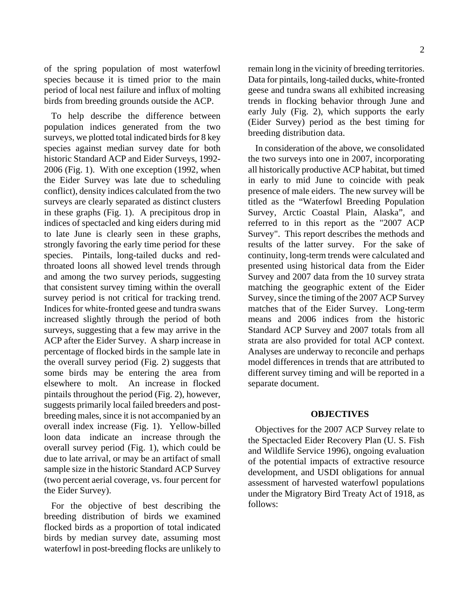of the spring population of most waterfowl species because it is timed prior to the main period of local nest failure and influx of molting birds from breeding grounds outside the ACP.

To help describe the difference between population indices generated from the two surveys, we plotted total indicated birds for 8 key species against median survey date for both historic Standard ACP and Eider Surveys, 1992- 2006 (Fig. 1). With one exception (1992, when the Eider Survey was late due to scheduling conflict), density indices calculated from the two surveys are clearly separated as distinct clusters in these graphs (Fig. 1). A precipitous drop in indices of spectacled and king eiders during mid to late June is clearly seen in these graphs, strongly favoring the early time period for these species. Pintails, long-tailed ducks and redthroated loons all showed level trends through and among the two survey periods, suggesting that consistent survey timing within the overall survey period is not critical for tracking trend. Indices for white-fronted geese and tundra swans increased slightly through the period of both surveys, suggesting that a few may arrive in the ACP after the Eider Survey. A sharp increase in percentage of flocked birds in the sample late in the overall survey period (Fig. 2) suggests that some birds may be entering the area from elsewhere to molt. An increase in flocked pintails throughout the period (Fig. 2), however, suggests primarily local failed breeders and postbreeding males, since it is not accompanied by an overall index increase (Fig. 1). Yellow-billed loon data indicate an increase through the overall survey period (Fig. 1), which could be due to late arrival, or may be an artifact of small sample size in the historic Standard ACP Survey (two percent aerial coverage, vs. four percent for the Eider Survey).

For the objective of best describing the breeding distribution of birds we examined flocked birds as a proportion of total indicated birds by median survey date, assuming most waterfowl in post-breeding flocks are unlikely to remain long in the vicinity of breeding territories. Data for pintails, long-tailed ducks, white-fronted geese and tundra swans all exhibited increasing trends in flocking behavior through June and early July (Fig. 2), which supports the early (Eider Survey) period as the best timing for breeding distribution data.

In consideration of the above, we consolidated the two surveys into one in 2007, incorporating all historically productive ACP habitat, but timed in early to mid June to coincide with peak presence of male eiders. The new survey will be titled as the "Waterfowl Breeding Population Survey, Arctic Coastal Plain, Alaska", and referred to in this report as the "2007 ACP Survey". This report describes the methods and results of the latter survey. For the sake of continuity, long-term trends were calculated and presented using historical data from the Eider Survey and 2007 data from the 10 survey strata matching the geographic extent of the Eider Survey, since the timing of the 2007 ACP Survey matches that of the Eider Survey. Long-term means and 2006 indices from the historic Standard ACP Survey and 2007 totals from all strata are also provided for total ACP context. Analyses are underway to reconcile and perhaps model differences in trends that are attributed to different survey timing and will be reported in a separate document.

#### **OBJECTIVES**

Objectives for the 2007 ACP Survey relate to the Spectacled Eider Recovery Plan (U. S. Fish and Wildlife Service 1996), ongoing evaluation of the potential impacts of extractive resource development, and USDI obligations for annual assessment of harvested waterfowl populations under the Migratory Bird Treaty Act of 1918, as follows: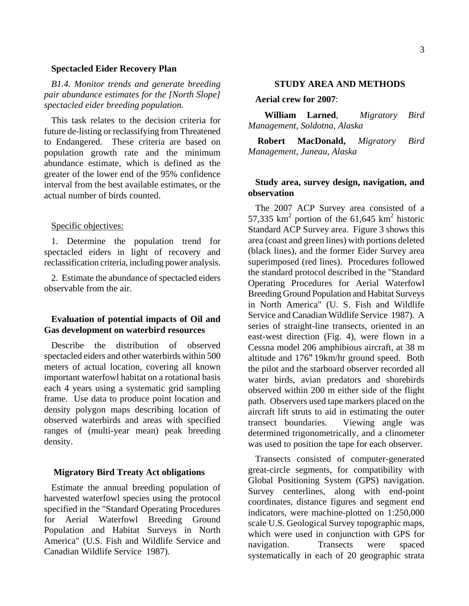#### **Spectacled Eider Recovery Plan**

*B1.4. Monitor trends and generate breeding pair abundance estimates for the [North Slope] spectacled eider breeding population.*

This task relates to the decision criteria for future de-listing or reclassifying from Threatened to Endangered. These criteria are based on population growth rate and the minimum abundance estimate, which is defined as the greater of the lower end of the 95% confidence interval from the best available estimates, or the actual number of birds counted.

#### Specific objectives:

1. Determine the population trend for spectacled eiders in light of recovery and reclassification criteria, including power analysis.

2. Estimate the abundance of spectacled eiders observable from the air.

## **Evaluation of potential impacts of Oil and Gas development on waterbird resources**

Describe the distribution of observed spectacled eiders and other waterbirds within 500 meters of actual location, covering all known important waterfowl habitat on a rotational basis each 4 years using a systematic grid sampling frame. Use data to produce point location and density polygon maps describing location of observed waterbirds and areas with specified ranges of (multi-year mean) peak breeding density.

#### **Migratory Bird Treaty Act obligations**

Estimate the annual breeding population of harvested waterfowl species using the protocol specified in the "Standard Operating Procedures for Aerial Waterfowl Breeding Ground Population and Habitat Surveys in North America" (U.S. Fish and Wildlife Service and Canadian Wildlife Service 1987).

#### **STUDY AREA AND METHODS**

#### **Aerial crew for 2007**:

 **William Larned**, *Migratory Bird Management, Soldotna, Alaska*

**Robert MacDonald,** *Migratory Bird Management, Juneau, Alaska* 

## **Study area, survey design, navigation, and observation**

The 2007 ACP Survey area consisted of a 57,335  $\text{km}^2$  portion of the 61,645  $\text{km}^2$  historic Standard ACP Survey area. Figure 3 shows this area (coast and green lines) with portions deleted (black lines), and the former Eider Survey area superimposed (red lines). Procedures followed the standard protocol described in the "Standard Operating Procedures for Aerial Waterfowl Breeding Ground Population and Habitat Surveys in North America" (U. S. Fish and Wildlife Service and Canadian Wildlife Service 1987). A series of straight-line transects, oriented in an east-west direction (Fig. 4), were flown in a Cessna model 206 amphibious aircraft, at 38 m altitude and 176"19km/hr ground speed. Both the pilot and the starboard observer recorded all water birds, avian predators and shorebirds observed within 200 m either side of the flight path. Observers used tape markers placed on the aircraft lift struts to aid in estimating the outer transect boundaries. Viewing angle was determined trigonometrically, and a clinometer was used to position the tape for each observer.

Transects consisted of computer-generated great-circle segments, for compatibility with Global Positioning System (GPS) navigation. Survey centerlines, along with end-point coordinates, distance figures and segment end indicators, were machine-plotted on 1:250,000 scale U.S. Geological Survey topographic maps, which were used in conjunction with GPS for navigation. Transects were spaced systematically in each of 20 geographic strata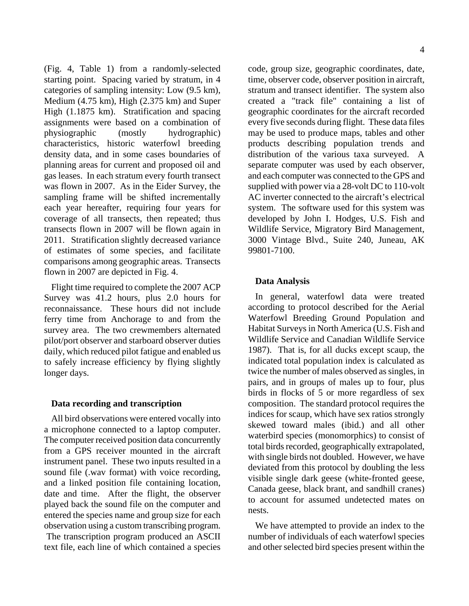4

(Fig. 4, Table 1) from a randomly-selected starting point. Spacing varied by stratum, in 4 categories of sampling intensity: Low (9.5 km), Medium (4.75 km), High (2.375 km) and Super High (1.1875 km). Stratification and spacing assignments were based on a combination of physiographic (mostly hydrographic) characteristics, historic waterfowl breeding density data, and in some cases boundaries of planning areas for current and proposed oil and gas leases. In each stratum every fourth transect was flown in 2007. As in the Eider Survey, the sampling frame will be shifted incrementally each year hereafter, requiring four years for coverage of all transects, then repeated; thus transects flown in 2007 will be flown again in 2011. Stratification slightly decreased variance of estimates of some species, and facilitate comparisons among geographic areas. Transects flown in 2007 are depicted in Fig. 4.

Flight time required to complete the 2007 ACP Survey was 41.2 hours, plus 2.0 hours for reconnaissance. These hours did not include ferry time from Anchorage to and from the survey area. The two crewmembers alternated pilot/port observer and starboard observer duties daily, which reduced pilot fatigue and enabled us to safely increase efficiency by flying slightly longer days.

## **Data recording and transcription**

All bird observations were entered vocally into a microphone connected to a laptop computer. The computer received position data concurrently from a GPS receiver mounted in the aircraft instrument panel. These two inputs resulted in a sound file (.wav format) with voice recording, and a linked position file containing location, date and time. After the flight, the observer played back the sound file on the computer and entered the species name and group size for each observation using a custom transcribing program. The transcription program produced an ASCII text file, each line of which contained a species

code, group size, geographic coordinates, date, time, observer code, observer position in aircraft, stratum and transect identifier. The system also created a "track file" containing a list of geographic coordinates for the aircraft recorded every five seconds during flight. These data files may be used to produce maps, tables and other products describing population trends and distribution of the various taxa surveyed. A separate computer was used by each observer, and each computer was connected to the GPS and supplied with power via a 28-volt DC to 110-volt AC inverter connected to the aircraft's electrical system. The software used for this system was developed by John I. Hodges, U.S. Fish and Wildlife Service, Migratory Bird Management, 3000 Vintage Blvd., Suite 240, Juneau, AK 99801-7100.

## **Data Analysis**

In general, waterfowl data were treated according to protocol described for the Aerial Waterfowl Breeding Ground Population and Habitat Surveys in North America (U.S. Fish and Wildlife Service and Canadian Wildlife Service 1987). That is, for all ducks except scaup, the indicated total population index is calculated as twice the number of males observed as singles, in pairs, and in groups of males up to four, plus birds in flocks of 5 or more regardless of sex composition. The standard protocol requires the indices for scaup, which have sex ratios strongly skewed toward males (ibid.) and all other waterbird species (monomorphics) to consist of total birds recorded, geographically extrapolated, with single birds not doubled. However, we have deviated from this protocol by doubling the less visible single dark geese (white-fronted geese, Canada geese, black brant, and sandhill cranes) to account for assumed undetected mates on nests.

We have attempted to provide an index to the number of individuals of each waterfowl species and other selected bird species present within the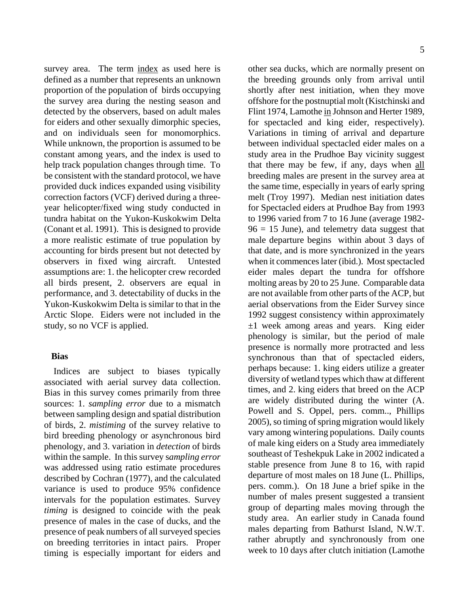survey area. The term index as used here is defined as a number that represents an unknown proportion of the population of birds occupying the survey area during the nesting season and detected by the observers, based on adult males for eiders and other sexually dimorphic species, and on individuals seen for monomorphics. While unknown, the proportion is assumed to be constant among years, and the index is used to help track population changes through time. To be consistent with the standard protocol, we have provided duck indices expanded using visibility correction factors (VCF) derived during a threeyear helicopter/fixed wing study conducted in tundra habitat on the Yukon-Kuskokwim Delta (Conant et al. 1991). This is designed to provide a more realistic estimate of true population by accounting for birds present but not detected by observers in fixed wing aircraft. Untested assumptions are: 1. the helicopter crew recorded all birds present, 2. observers are equal in performance, and 3. detectability of ducks in the Yukon-Kuskokwim Delta is similar to that in the Arctic Slope. Eiders were not included in the study, so no VCF is applied.

## **Bias**

 Indices are subject to biases typically associated with aerial survey data collection. Bias in this survey comes primarily from three sources: 1. *sampling error* due to a mismatch between sampling design and spatial distribution of birds, 2. *mistiming* of the survey relative to bird breeding phenology or asynchronous bird phenology, and 3. variation in *detection* of birds within the sample. In this survey s*ampling error* was addressed using ratio estimate procedures described by Cochran (1977), and the calculated variance is used to produce 95% confidence intervals for the population estimates. Survey *timing* is designed to coincide with the peak presence of males in the case of ducks, and the presence of peak numbers of all surveyed species on breeding territories in intact pairs. Proper timing is especially important for eiders and other sea ducks, which are normally present on the breeding grounds only from arrival until shortly after nest initiation, when they move offshore for the postnuptial molt (Kistchinski and Flint 1974, Lamothe in Johnson and Herter 1989, for spectacled and king eider, respectively). Variations in timing of arrival and departure between individual spectacled eider males on a study area in the Prudhoe Bay vicinity suggest that there may be few, if any, days when all breeding males are present in the survey area at the same time, especially in years of early spring melt (Troy 1997). Median nest initiation dates for Spectacled eiders at Prudhoe Bay from 1993 to 1996 varied from 7 to 16 June (average 1982-  $96 = 15$  June), and telemetry data suggest that male departure begins within about 3 days of that date, and is more synchronized in the years when it commences later (ibid.). Most spectacled eider males depart the tundra for offshore molting areas by 20 to 25 June. Comparable data are not available from other parts of the ACP, but aerial observations from the Eider Survey since 1992 suggest consistency within approximately  $\pm 1$  week among areas and years. King eider phenology is similar, but the period of male presence is normally more protracted and less synchronous than that of spectacled eiders, perhaps because: 1. king eiders utilize a greater diversity of wetland types which thaw at different times, and 2. king eiders that breed on the ACP are widely distributed during the winter (A. Powell and S. Oppel, pers. comm.., Phillips 2005), so timing of spring migration would likely vary among wintering populations. Daily counts of male king eiders on a Study area immediately southeast of Teshekpuk Lake in 2002 indicated a stable presence from June 8 to 16, with rapid departure of most males on 18 June (L. Phillips, pers. comm.). On 18 June a brief spike in the number of males present suggested a transient group of departing males moving through the study area. An earlier study in Canada found males departing from Bathurst Island, N.W.T. rather abruptly and synchronously from one week to 10 days after clutch initiation (Lamothe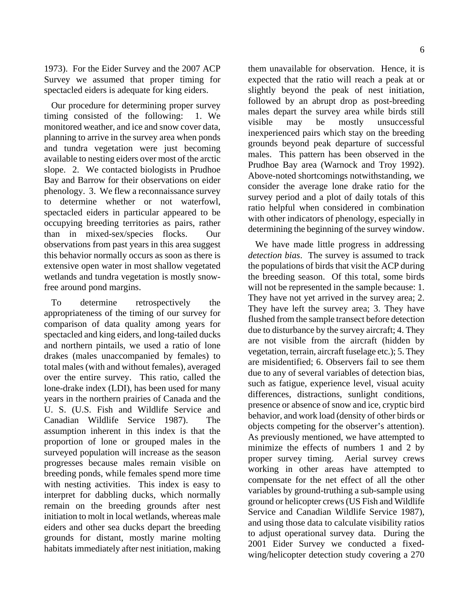1973). For the Eider Survey and the 2007 ACP Survey we assumed that proper timing for spectacled eiders is adequate for king eiders.

Our procedure for determining proper survey timing consisted of the following: 1. We monitored weather, and ice and snow cover data, planning to arrive in the survey area when ponds and tundra vegetation were just becoming available to nesting eiders over most of the arctic slope. 2. We contacted biologists in Prudhoe Bay and Barrow for their observations on eider phenology. 3. We flew a reconnaissance survey to determine whether or not waterfowl, spectacled eiders in particular appeared to be occupying breeding territories as pairs, rather than in mixed-sex/species flocks. Our observations from past years in this area suggest this behavior normally occurs as soon as there is extensive open water in most shallow vegetated wetlands and tundra vegetation is mostly snowfree around pond margins.

To determine retrospectively the appropriateness of the timing of our survey for comparison of data quality among years for spectacled and king eiders, and long-tailed ducks and northern pintails, we used a ratio of lone drakes (males unaccompanied by females) to total males (with and without females), averaged over the entire survey. This ratio, called the lone-drake index (LDI), has been used for many years in the northern prairies of Canada and the U. S. (U.S. Fish and Wildlife Service and Canadian Wildlife Service 1987). The assumption inherent in this index is that the proportion of lone or grouped males in the surveyed population will increase as the season progresses because males remain visible on breeding ponds, while females spend more time with nesting activities. This index is easy to interpret for dabbling ducks, which normally remain on the breeding grounds after nest initiation to molt in local wetlands, whereas male eiders and other sea ducks depart the breeding grounds for distant, mostly marine molting habitats immediately after nest initiation, making them unavailable for observation. Hence, it is expected that the ratio will reach a peak at or slightly beyond the peak of nest initiation, followed by an abrupt drop as post-breeding males depart the survey area while birds still visible may be mostly unsuccessful inexperienced pairs which stay on the breeding grounds beyond peak departure of successful males. This pattern has been observed in the Prudhoe Bay area (Warnock and Troy 1992). Above-noted shortcomings notwithstanding, we consider the average lone drake ratio for the survey period and a plot of daily totals of this ratio helpful when considered in combination with other indicators of phenology, especially in determining the beginning of the survey window.

We have made little progress in addressing *detection bias*. The survey is assumed to track the populations of birds that visit the ACP during the breeding season. Of this total, some birds will not be represented in the sample because: 1. They have not yet arrived in the survey area; 2. They have left the survey area; 3. They have flushed from the sample transect before detection due to disturbance by the survey aircraft; 4. They are not visible from the aircraft (hidden by vegetation, terrain, aircraft fuselage etc.); 5. They are misidentified; 6. Observers fail to see them due to any of several variables of detection bias, such as fatigue, experience level, visual acuity differences, distractions, sunlight conditions, presence or absence of snow and ice, cryptic bird behavior, and work load (density of other birds or objects competing for the observer's attention). As previously mentioned, we have attempted to minimize the effects of numbers 1 and 2 by proper survey timing. Aerial survey crews working in other areas have attempted to compensate for the net effect of all the other variables by ground-truthing a sub-sample using ground or helicopter crews (US Fish and Wildlife Service and Canadian Wildlife Service 1987), and using those data to calculate visibility ratios to adjust operational survey data. During the 2001 Eider Survey we conducted a fixedwing/helicopter detection study covering a 270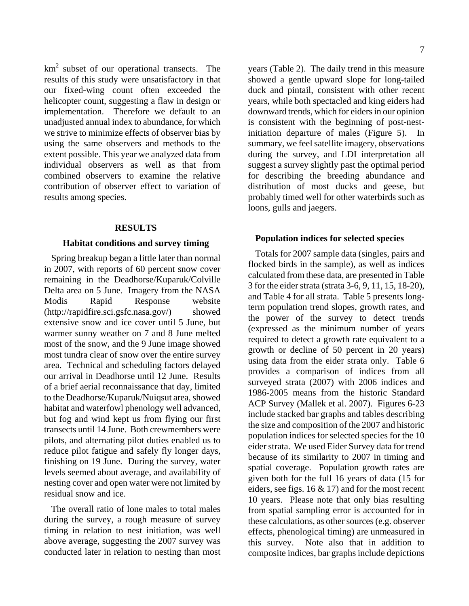$km<sup>2</sup>$  subset of our operational transects. The results of this study were unsatisfactory in that our fixed-wing count often exceeded the helicopter count, suggesting a flaw in design or implementation. Therefore we default to an unadjusted annual index to abundance, for which we strive to minimize effects of observer bias by using the same observers and methods to the extent possible. This year we analyzed data from individual observers as well as that from combined observers to examine the relative contribution of observer effect to variation of results among species.

#### **RESULTS**

#### **Habitat conditions and survey timing**

Spring breakup began a little later than normal in 2007, with reports of 60 percent snow cover remaining in the Deadhorse/Kuparuk/Colville Delta area on 5 June. Imagery from the NASA Modis Rapid Response website (http://rapidfire.sci.gsfc.nasa.gov/) showed extensive snow and ice cover until 5 June, but warmer sunny weather on 7 and 8 June melted most of the snow, and the 9 June image showed most tundra clear of snow over the entire survey area. Technical and scheduling factors delayed our arrival in Deadhorse until 12 June. Results of a brief aerial reconnaissance that day, limited to the Deadhorse/Kuparuk/Nuiqsut area, showed habitat and waterfowl phenology well advanced, but fog and wind kept us from flying our first transects until 14 June. Both crewmembers were pilots, and alternating pilot duties enabled us to reduce pilot fatigue and safely fly longer days, finishing on 19 June. During the survey, water levels seemed about average, and availability of nesting cover and open water were not limited by residual snow and ice.

The overall ratio of lone males to total males during the survey, a rough measure of survey timing in relation to nest initiation, was well above average, suggesting the 2007 survey was conducted later in relation to nesting than most years (Table 2). The daily trend in this measure showed a gentle upward slope for long-tailed duck and pintail, consistent with other recent years, while both spectacled and king eiders had downward trends, which for eiders in our opinion is consistent with the beginning of post-nestinitiation departure of males (Figure 5). In summary, we feel satellite imagery, observations during the survey, and LDI interpretation all suggest a survey slightly past the optimal period for describing the breeding abundance and distribution of most ducks and geese, but probably timed well for other waterbirds such as loons, gulls and jaegers.

#### **Population indices for selected species**

Totals for 2007 sample data (singles, pairs and flocked birds in the sample), as well as indices calculated from these data, are presented in Table 3 for the eider strata (strata 3-6, 9, 11, 15, 18-20), and Table 4 for all strata. Table 5 presents longterm population trend slopes, growth rates, and the power of the survey to detect trends (expressed as the minimum number of years required to detect a growth rate equivalent to a growth or decline of 50 percent in 20 years) using data from the eider strata only. Table 6 provides a comparison of indices from all surveyed strata (2007) with 2006 indices and 1986-2005 means from the historic Standard ACP Survey (Mallek et al. 2007). Figures 6-23 include stacked bar graphs and tables describing the size and composition of the 2007 and historic population indices for selected species for the 10 eider strata. We used Eider Survey data for trend because of its similarity to 2007 in timing and spatial coverage. Population growth rates are given both for the full 16 years of data (15 for eiders, see figs. 16 & 17) and for the most recent 10 years. Please note that only bias resulting from spatial sampling error is accounted for in these calculations, as other sources (e.g. observer effects, phenological timing) are unmeasured in this survey. Note also that in addition to composite indices, bar graphs include depictions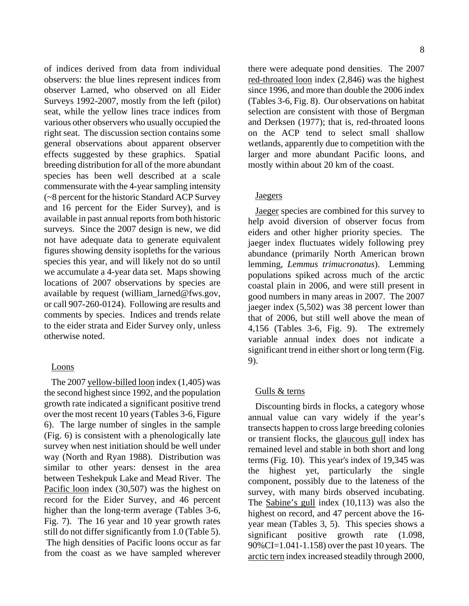of indices derived from data from individual observers: the blue lines represent indices from observer Larned, who observed on all Eider Surveys 1992-2007, mostly from the left (pilot) seat, while the yellow lines trace indices from various other observers who usually occupied the right seat. The discussion section contains some general observations about apparent observer effects suggested by these graphics. Spatial breeding distribution for all of the more abundant species has been well described at a scale commensurate with the 4-year sampling intensity (~8 percent for the historic Standard ACP Survey and 16 percent for the Eider Survey), and is available in past annual reports from both historic surveys. Since the 2007 design is new, we did not have adequate data to generate equivalent figures showing density isopleths for the various species this year, and will likely not do so until we accumulate a 4-year data set. Maps showing locations of 2007 observations by species are available by request (william\_larned@fws.gov, or call 907-260-0124). Following are results and comments by species. Indices and trends relate to the eider strata and Eider Survey only, unless otherwise noted.

#### Loons

The 2007 yellow-billed loon index (1,405) was the second highest since 1992, and the population growth rate indicated a significant positive trend over the most recent 10 years (Tables 3-6, Figure 6). The large number of singles in the sample (Fig. 6) is consistent with a phenologically late survey when nest initiation should be well under way (North and Ryan 1988). Distribution was similar to other years: densest in the area between Teshekpuk Lake and Mead River. The Pacific loon index (30,507) was the highest on record for the Eider Survey, and 46 percent higher than the long-term average (Tables 3-6, Fig. 7). The 16 year and 10 year growth rates still do not differ significantly from 1.0 (Table 5). The high densities of Pacific loons occur as far from the coast as we have sampled wherever 8

there were adequate pond densities. The 2007 red-throated loon index (2,846) was the highest since 1996, and more than double the 2006 index (Tables 3-6, Fig. 8). Our observations on habitat selection are consistent with those of Bergman and Derksen (1977); that is, red-throated loons on the ACP tend to select small shallow wetlands, apparently due to competition with the larger and more abundant Pacific loons, and mostly within about 20 km of the coast.

### **Jaegers**

Jaeger species are combined for this survey to help avoid diversion of observer focus from eiders and other higher priority species. The jaeger index fluctuates widely following prey abundance (primarily North American brown lemming, *Lemmus trimucronatus*). Lemming populations spiked across much of the arctic coastal plain in 2006, and were still present in good numbers in many areas in 2007. The 2007 jaeger index (5,502) was 38 percent lower than that of 2006, but still well above the mean of 4,156 (Tables 3-6, Fig. 9). The extremely variable annual index does not indicate a significant trend in either short or long term (Fig. 9).

### Gulls & terns

Discounting birds in flocks, a category whose annual value can vary widely if the year's transects happen to cross large breeding colonies or transient flocks, the glaucous gull index has remained level and stable in both short and long terms (Fig. 10). This year's index of 19,345 was the highest yet, particularly the single component, possibly due to the lateness of the survey, with many birds observed incubating. The Sabine's gull index (10,113) was also the highest on record, and 47 percent above the 16 year mean (Tables 3, 5). This species shows a significant positive growth rate (1.098, 90%CI=1.041-1.158) over the past 10 years. The arctic tern index increased steadily through 2000,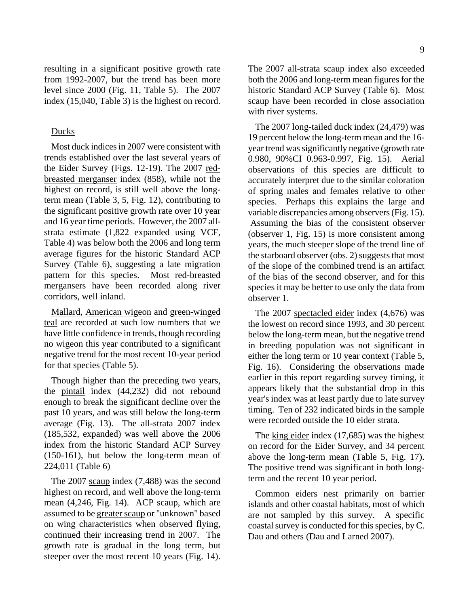resulting in a significant positive growth rate from 1992-2007, but the trend has been more level since 2000 (Fig. 11, Table 5). The 2007 index (15,040, Table 3) is the highest on record.

### Ducks

Most duck indices in 2007 were consistent with trends established over the last several years of the Eider Survey (Figs. 12-19). The 2007 redbreasted merganser index (858), while not the highest on record, is still well above the longterm mean (Table 3, 5, Fig. 12), contributing to the significant positive growth rate over 10 year and 16 year time periods. However, the 2007 allstrata estimate (1,822 expanded using VCF, Table 4) was below both the 2006 and long term average figures for the historic Standard ACP Survey (Table 6), suggesting a late migration pattern for this species. Most red-breasted mergansers have been recorded along river corridors, well inland.

Mallard, American wigeon and green-winged teal are recorded at such low numbers that we have little confidence in trends, though recording no wigeon this year contributed to a significant negative trend for the most recent 10-year period for that species (Table 5).

Though higher than the preceding two years, the pintail index (44,232) did not rebound enough to break the significant decline over the past 10 years, and was still below the long-term average (Fig. 13). The all-strata 2007 index (185,532, expanded) was well above the 2006 index from the historic Standard ACP Survey (150-161), but below the long-term mean of 224,011 (Table 6)

The 2007 scaup index (7,488) was the second highest on record, and well above the long-term mean (4,246, Fig. 14). ACP scaup, which are assumed to be greater scaup or "unknown" based on wing characteristics when observed flying, continued their increasing trend in 2007. The growth rate is gradual in the long term, but steeper over the most recent 10 years (Fig. 14). The 2007 all-strata scaup index also exceeded both the 2006 and long-term mean figures for the historic Standard ACP Survey (Table 6). Most scaup have been recorded in close association with river systems.

The 2007 long-tailed duck index (24,479) was 19 percent below the long-term mean and the 16 year trend was significantly negative (growth rate 0.980, 90%CI 0.963-0.997, Fig. 15). Aerial observations of this species are difficult to accurately interpret due to the similar coloration of spring males and females relative to other species. Perhaps this explains the large and variable discrepancies among observers (Fig. 15). Assuming the bias of the consistent observer (observer 1, Fig. 15) is more consistent among years, the much steeper slope of the trend line of the starboard observer (obs. 2) suggests that most of the slope of the combined trend is an artifact of the bias of the second observer, and for this species it may be better to use only the data from observer 1.

The 2007 spectacled eider index (4,676) was the lowest on record since 1993, and 30 percent below the long-term mean, but the negative trend in breeding population was not significant in either the long term or 10 year context (Table 5, Fig. 16). Considering the observations made earlier in this report regarding survey timing, it appears likely that the substantial drop in this year's index was at least partly due to late survey timing. Ten of 232 indicated birds in the sample were recorded outside the 10 eider strata.

The king eider index (17,685) was the highest on record for the Eider Survey, and 34 percent above the long-term mean (Table 5, Fig. 17). The positive trend was significant in both longterm and the recent 10 year period.

Common eiders nest primarily on barrier islands and other coastal habitats, most of which are not sampled by this survey. A specific coastal survey is conducted for this species, by C. Dau and others (Dau and Larned 2007).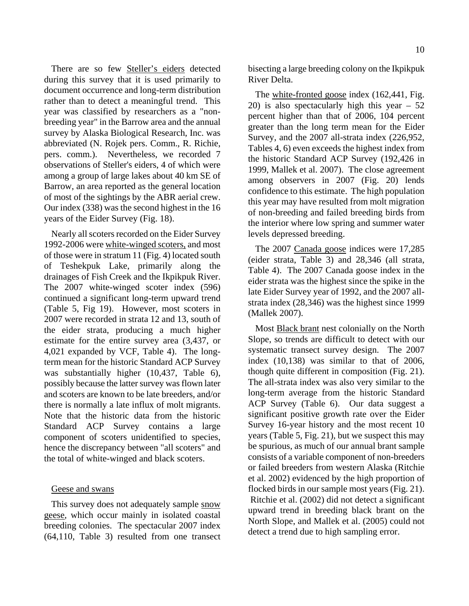There are so few **Steller's eiders** detected during this survey that it is used primarily to document occurrence and long-term distribution rather than to detect a meaningful trend. This year was classified by researchers as a "nonbreeding year" in the Barrow area and the annual survey by Alaska Biological Research, Inc. was abbreviated (N. Rojek pers. Comm., R. Richie, pers. comm.). Nevertheless, we recorded 7 observations of Steller's eiders, 4 of which were among a group of large lakes about 40 km SE of Barrow, an area reported as the general location of most of the sightings by the ABR aerial crew. Our index (338) was the second highest in the 16 years of the Eider Survey (Fig. 18).

Nearly all scoters recorded on the Eider Survey 1992-2006 were white-winged scoters, and most of those were in stratum 11 (Fig. 4) located south of Teshekpuk Lake, primarily along the drainages of Fish Creek and the Ikpikpuk River. The 2007 white-winged scoter index (596) continued a significant long-term upward trend (Table 5, Fig 19). However, most scoters in 2007 were recorded in strata 12 and 13, south of the eider strata, producing a much higher estimate for the entire survey area (3,437, or 4,021 expanded by VCF, Table 4). The longterm mean for the historic Standard ACP Survey was substantially higher (10,437, Table 6), possibly because the latter survey was flown later and scoters are known to be late breeders, and/or there is normally a late influx of molt migrants. Note that the historic data from the historic Standard ACP Survey contains a large component of scoters unidentified to species, hence the discrepancy between "all scoters" and the total of white-winged and black scoters.

### Geese and swans

This survey does not adequately sample snow geese, which occur mainly in isolated coastal breeding colonies. The spectacular 2007 index (64,110, Table 3) resulted from one transect bisecting a large breeding colony on the Ikpikpuk River Delta.

The white-fronted goose index (162,441, Fig. 20) is also spectacularly high this year – 52 percent higher than that of 2006, 104 percent greater than the long term mean for the Eider Survey, and the 2007 all-strata index (226,952, Tables 4, 6) even exceeds the highest index from the historic Standard ACP Survey (192,426 in 1999, Mallek et al. 2007). The close agreement among observers in 2007 (Fig. 20) lends confidence to this estimate. The high population this year may have resulted from molt migration of non-breeding and failed breeding birds from the interior where low spring and summer water levels depressed breeding.

The 2007 Canada goose indices were 17,285 (eider strata, Table 3) and 28,346 (all strata, Table 4). The 2007 Canada goose index in the eider strata was the highest since the spike in the late Eider Survey year of 1992, and the 2007 allstrata index (28,346) was the highest since 1999 (Mallek 2007).

Most Black brant nest colonially on the North Slope, so trends are difficult to detect with our systematic transect survey design. The 2007 index (10,138) was similar to that of 2006, though quite different in composition (Fig. 21). The all-strata index was also very similar to the long-term average from the historic Standard ACP Survey (Table 6). Our data suggest a significant positive growth rate over the Eider Survey 16-year history and the most recent 10 years (Table 5, Fig. 21), but we suspect this may be spurious, as much of our annual brant sample consists of a variable component of non-breeders or failed breeders from western Alaska (Ritchie et al. 2002) evidenced by the high proportion of flocked birds in our sample most years (Fig. 21). Ritchie et al. (2002) did not detect a significant upward trend in breeding black brant on the North Slope, and Mallek et al. (2005) could not detect a trend due to high sampling error.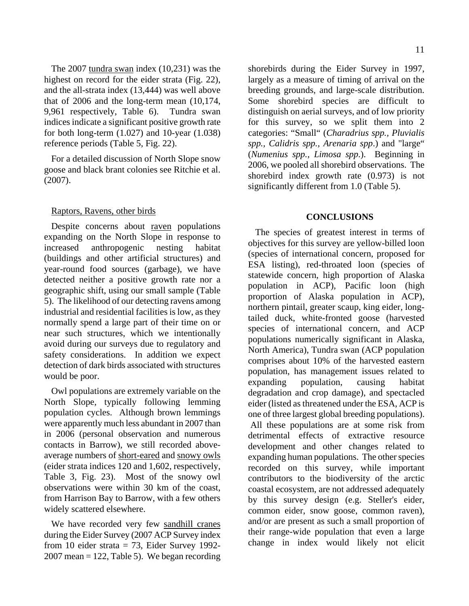The 2007 tundra swan index (10,231) was the highest on record for the eider strata (Fig. 22), and the all-strata index (13,444) was well above that of 2006 and the long-term mean (10,174, 9,961 respectively, Table 6). Tundra swan indices indicate a significant positive growth rate for both long-term (1.027) and 10-year (1.038) reference periods (Table 5, Fig. 22).

For a detailed discussion of North Slope snow goose and black brant colonies see Ritchie et al. (2007).

## Raptors, Ravens, other birds

Despite concerns about raven populations expanding on the North Slope in response to increased anthropogenic nesting habitat (buildings and other artificial structures) and year-round food sources (garbage), we have detected neither a positive growth rate nor a geographic shift, using our small sample (Table 5). The likelihood of our detecting ravens among industrial and residential facilities is low, as they normally spend a large part of their time on or near such structures, which we intentionally avoid during our surveys due to regulatory and safety considerations. In addition we expect detection of dark birds associated with structures would be poor.

Owl populations are extremely variable on the North Slope, typically following lemming population cycles. Although brown lemmings were apparently much less abundant in 2007 than in 2006 (personal observation and numerous contacts in Barrow), we still recorded aboveaverage numbers of short-eared and snowy owls (eider strata indices 120 and 1,602, respectively, Table 3, Fig. 23). Most of the snowy owl observations were within 30 km of the coast, from Harrison Bay to Barrow, with a few others widely scattered elsewhere.

We have recorded very few sandhill cranes during the Eider Survey (2007 ACP Survey index from 10 eider strata = 73, Eider Survey 1992-  $2007$  mean = 122, Table 5). We began recording shorebirds during the Eider Survey in 1997, largely as a measure of timing of arrival on the breeding grounds, and large-scale distribution. Some shorebird species are difficult to distinguish on aerial surveys, and of low priority for this survey, so we split them into 2 categories: "Small" (*Charadrius spp., Pluvialis spp., Calidris spp., Arenaria spp*.) and "large" (*Numenius spp., Limosa spp*.). Beginning in 2006, we pooled all shorebird observations. The shorebird index growth rate (0.973) is not significantly different from 1.0 (Table 5).

## **CONCLUSIONS**

The species of greatest interest in terms of objectives for this survey are yellow-billed loon (species of international concern, proposed for ESA listing), red-throated loon (species of statewide concern, high proportion of Alaska population in ACP), Pacific loon (high proportion of Alaska population in ACP), northern pintail, greater scaup, king eider, longtailed duck, white-fronted goose (harvested species of international concern, and ACP populations numerically significant in Alaska, North America), Tundra swan (ACP population comprises about 10% of the harvested eastern population, has management issues related to expanding population, causing habitat degradation and crop damage), and spectacled eider (listed as threatened under the ESA, ACP is one of three largest global breeding populations). All these populations are at some risk from detrimental effects of extractive resource development and other changes related to expanding human populations. The other species recorded on this survey, while important contributors to the biodiversity of the arctic coastal ecosystem, are not addressed adequately by this survey design (e.g. Steller's eider, common eider, snow goose, common raven), and/or are present as such a small proportion of their range-wide population that even a large change in index would likely not elicit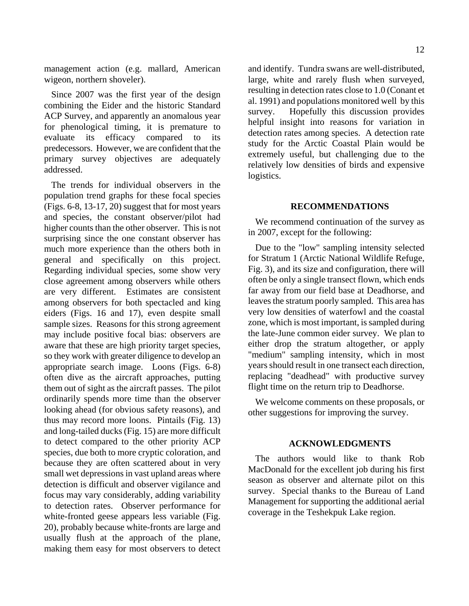management action (e.g. mallard, American wigeon, northern shoveler).

Since 2007 was the first year of the design combining the Eider and the historic Standard ACP Survey, and apparently an anomalous year for phenological timing, it is premature to evaluate its efficacy compared to its predecessors. However, we are confident that the primary survey objectives are adequately addressed.

The trends for individual observers in the population trend graphs for these focal species (Figs. 6-8, 13-17, 20) suggest that for most years and species, the constant observer/pilot had higher counts than the other observer. This is not surprising since the one constant observer has much more experience than the others both in general and specifically on this project. Regarding individual species, some show very close agreement among observers while others are very different. Estimates are consistent among observers for both spectacled and king eiders (Figs. 16 and 17), even despite small sample sizes. Reasons for this strong agreement may include positive focal bias: observers are aware that these are high priority target species, so they work with greater diligence to develop an appropriate search image. Loons (Figs. 6-8) often dive as the aircraft approaches, putting them out of sight as the aircraft passes. The pilot ordinarily spends more time than the observer looking ahead (for obvious safety reasons), and thus may record more loons. Pintails (Fig. 13) and long-tailed ducks (Fig. 15) are more difficult to detect compared to the other priority ACP species, due both to more cryptic coloration, and because they are often scattered about in very small wet depressions in vast upland areas where detection is difficult and observer vigilance and focus may vary considerably, adding variability to detection rates. Observer performance for white-fronted geese appears less variable (Fig. 20), probably because white-fronts are large and usually flush at the approach of the plane, making them easy for most observers to detect

and identify. Tundra swans are well-distributed, large, white and rarely flush when surveyed, resulting in detection rates close to 1.0 (Conant et al. 1991) and populations monitored well by this survey. Hopefully this discussion provides helpful insight into reasons for variation in detection rates among species. A detection rate study for the Arctic Coastal Plain would be extremely useful, but challenging due to the relatively low densities of birds and expensive logistics.

#### **RECOMMENDATIONS**

We recommend continuation of the survey as in 2007, except for the following:

Due to the "low" sampling intensity selected for Stratum 1 (Arctic National Wildlife Refuge, Fig. 3), and its size and configuration, there will often be only a single transect flown, which ends far away from our field base at Deadhorse, and leaves the stratum poorly sampled. This area has very low densities of waterfowl and the coastal zone, which is most important, is sampled during the late-June common eider survey. We plan to either drop the stratum altogether, or apply "medium" sampling intensity, which in most years should result in one transect each direction, replacing "deadhead" with productive survey flight time on the return trip to Deadhorse.

We welcome comments on these proposals, or other suggestions for improving the survey.

#### **ACKNOWLEDGMENTS**

The authors would like to thank Rob MacDonald for the excellent job during his first season as observer and alternate pilot on this survey. Special thanks to the Bureau of Land Management for supporting the additional aerial coverage in the Teshekpuk Lake region.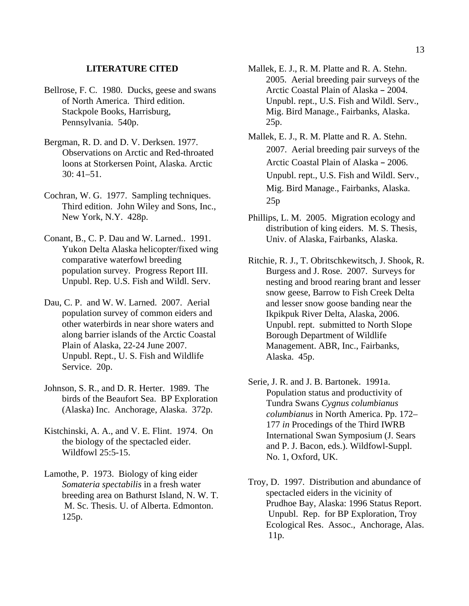#### **LITERATURE CITED**

- Bellrose, F. C. 1980. Ducks, geese and swans of North America. Third edition. Stackpole Books, Harrisburg, Pennsylvania. 540p.
- Bergman, R. D. and D. V. Derksen. 1977. Observations on Arctic and Red-throated loons at Storkersen Point, Alaska. Arctic  $30:41-51$ .
- Cochran, W. G. 1977. Sampling techniques. Third edition. John Wiley and Sons, Inc., New York, N.Y. 428p.
- Conant, B., C. P. Dau and W. Larned.. 1991. Yukon Delta Alaska helicopter/fixed wing comparative waterfowl breeding population survey. Progress Report III. Unpubl. Rep. U.S. Fish and Wildl. Serv.
- Dau, C. P. and W. W. Larned. 2007. Aerial population survey of common eiders and other waterbirds in near shore waters and along barrier islands of the Arctic Coastal Plain of Alaska, 22-24 June 2007. Unpubl. Rept., U. S. Fish and Wildlife Service. 20p.
- Johnson, S. R., and D. R. Herter. 1989. The birds of the Beaufort Sea. BP Exploration (Alaska) Inc. Anchorage, Alaska. 372p.
- Kistchinski, A. A., and V. E. Flint. 1974. On the biology of the spectacled eider. Wildfowl 25:5-15.
- Lamothe, P. 1973. Biology of king eider *Somateria spectabilis* in a fresh water breeding area on Bathurst Island, N. W. T. M. Sc. Thesis. U. of Alberta. Edmonton. 125p.
- Mallek, E. J., R. M. Platte and R. A. Stehn. 2005. Aerial breeding pair surveys of the Arctic Coastal Plain of Alaska - 2004. Unpubl. rept., U.S. Fish and Wildl. Serv., Mig. Bird Manage., Fairbanks, Alaska. 25p.
- Mallek, E. J., R. M. Platte and R. A. Stehn. 2007. Aerial breeding pair surveys of the Arctic Coastal Plain of Alaska - 2006. Unpubl. rept., U.S. Fish and Wildl. Serv., Mig. Bird Manage., Fairbanks, Alaska. 25p
- Phillips, L. M. 2005. Migration ecology and distribution of king eiders. M. S. Thesis, Univ. of Alaska, Fairbanks, Alaska.
- Ritchie, R. J., T. Obritschkewitsch, J. Shook, R. Burgess and J. Rose. 2007. Surveys for nesting and brood rearing brant and lesser snow geese, Barrow to Fish Creek Delta and lesser snow goose banding near the Ikpikpuk River Delta, Alaska, 2006. Unpubl. rept. submitted to North Slope Borough Department of Wildlife Management. ABR, Inc., Fairbanks, Alaska. 45p.
- Serie, J. R. and J. B. Bartonek. 1991a. Population status and productivity of Tundra Swans *Cygnus columbianus columbianus* in North America. Pp. 172– 177 *in* Procedings of the Third IWRB International Swan Symposium (J. Sears and P. J. Bacon, eds.). Wildfowl-Suppl. No. 1, Oxford, UK.
- Troy, D. 1997. Distribution and abundance of spectacled eiders in the vicinity of Prudhoe Bay, Alaska: 1996 Status Report. Unpubl. Rep. for BP Exploration, Troy Ecological Res. Assoc., Anchorage, Alas. 11p.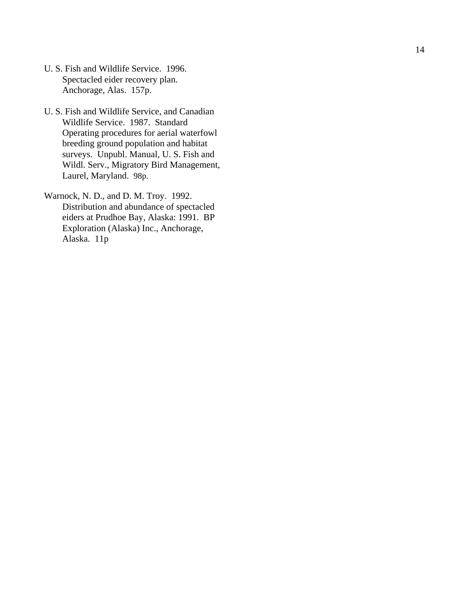- U. S. Fish and Wildlife Service. 1996. Spectacled eider recovery plan. Anchorage, Alas. 157p.
- U. S. Fish and Wildlife Service, and Canadian Wildlife Service. 1987. Standard Operating procedures for aerial waterfowl breeding ground population and habitat surveys. Unpubl. Manual, U. S. Fish and Wildl. Serv., Migratory Bird Management, Laurel, Maryland. 98p.

Warnock, N. D., and D. M. Troy. 1992. Distribution and abundance of spectacled eiders at Prudhoe Bay, Alaska: 1991. BP Exploration (Alaska) Inc., Anchorage, Alaska. 11p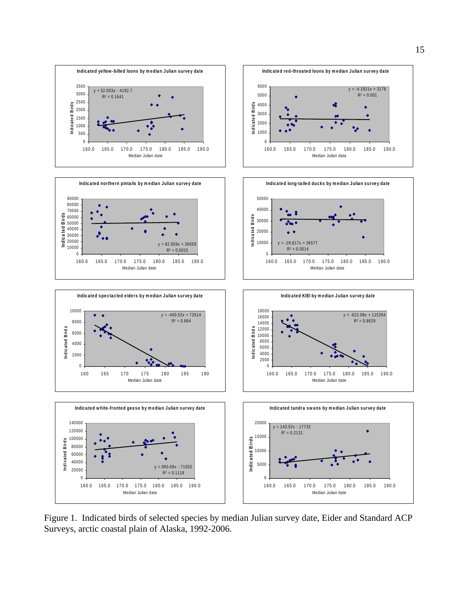

15

















Figure 1. Indicated birds of selected species by median Julian survey date, Eider and Standard ACP Surveys, arctic coastal plain of Alaska, 1992-2006.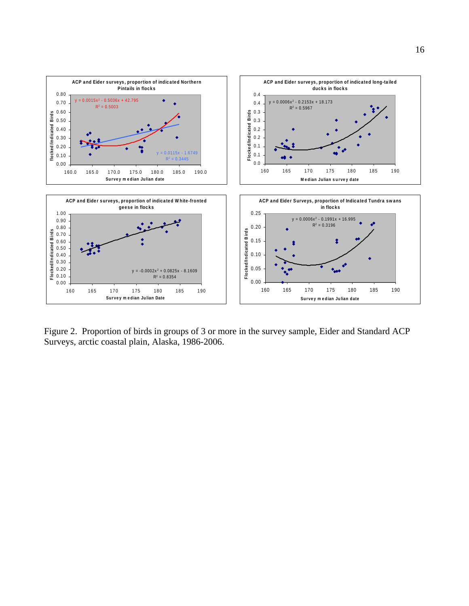

Figure 2. Proportion of birds in groups of 3 or more in the survey sample, Eider and Standard ACP Surveys, arctic coastal plain, Alaska, 1986-2006.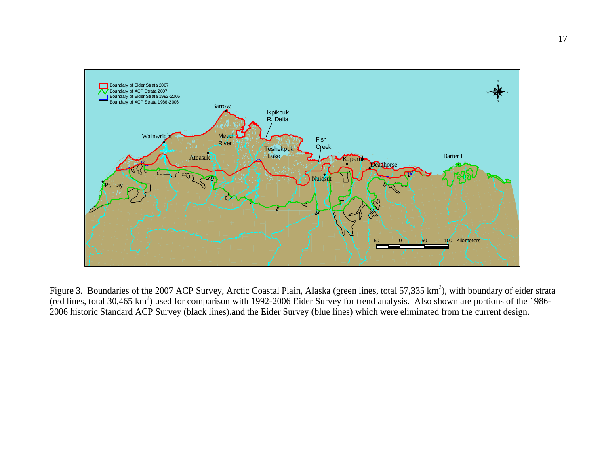

Figure 3. Boundaries of the 2007 ACP Survey, Arctic Coastal Plain, Alaska (green lines, total 57,335 km<sup>2</sup>), with boundary of eider strata (red lines, total 30,465 km<sup>2</sup>) used for comparison with 1992-2006 Eider Survey for trend analysis. Also shown are portions of the 1986-2006 historic Standard ACP Survey (black lines).and the Eider Survey (blue lines) which were eliminated from the current design.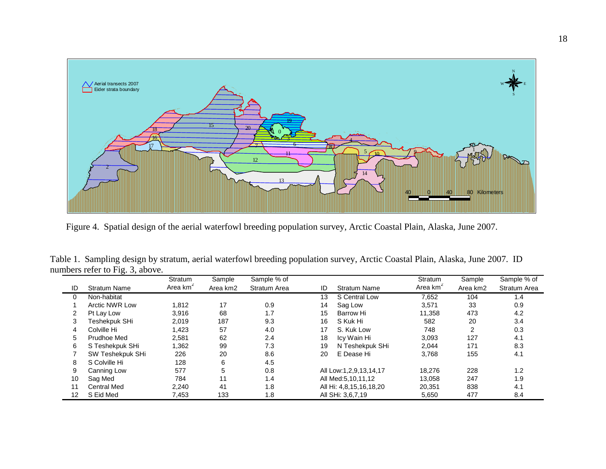

Figure 4. Spatial design of the aerial waterfowl breeding population survey, Arctic Coastal Plain, Alaska, June 2007.

|                  |                       | Stratum              | Sample   | Sample % of         |    |                         | Stratum              | Sample   | Sample % of         |
|------------------|-----------------------|----------------------|----------|---------------------|----|-------------------------|----------------------|----------|---------------------|
| ID               | <b>Stratum Name</b>   | Area km <sup>2</sup> | Area km2 | <b>Stratum Area</b> | ID | <b>Stratum Name</b>     | Area km <sup>2</sup> | Area km2 | <b>Stratum Area</b> |
| 0                | Non-habitat           |                      |          |                     | 13 | S Central Low           | 7,652                | 104      | 1.4                 |
|                  | <b>Arctic NWR Low</b> | 1.812                | 17       | 0.9                 | 14 | Sag Low                 | 3.571                | 33       | 0.9                 |
| 2                | Pt Lay Low            | 3,916                | 68       | 1.7                 | 15 | Barrow Hi               | 11,358               | 473      | 4.2                 |
| 3                | Teshekpuk SHi         | 2,019                | 187      | 9.3                 | 16 | S Kuk Hi                | 582                  | 20       | 3.4                 |
| 4                | Colville Hi           | 1,423                | 57       | 4.0                 | 17 | S. Kuk Low              | 748                  | 2        | 0.3                 |
| 5                | <b>Prudhoe Med</b>    | 2,581                | 62       | 2.4                 | 18 | Icy Wain Hi             | 3,093                | 127      | 4.1                 |
| 6                | S Teshekpuk SHi       | 1,362                | 99       | 7.3                 | 19 | N Teshekpuk SHi         | 2,044                | 171      | 8.3                 |
|                  | SW Teshekpuk SHi      | 226                  | 20       | 8.6                 | 20 | E Dease Hi              | 3,768                | 155      | 4.1                 |
| 8                | S Colville Hi         | 128                  | 6        | 4.5                 |    |                         |                      |          |                     |
| 9                | Canning Low           | 577                  | 5        | 0.8                 |    | All Low:1,2,9,13,14,17  | 18,276               | 228      | 1.2                 |
| 10               | Sag Med               | 784                  | 11       | 1.4                 |    | All Med: 5, 10, 11, 12  | 13,058               | 247      | 1.9                 |
| 11               | <b>Central Med</b>    | 2,240                | 41       | 1.8                 |    | All Hi: 4,8,15,16,18,20 | 20,351               | 838      | 4.1                 |
| 12 <sup>12</sup> | S Eid Med             | 7,453                | 133      | 1.8                 |    | All SHi: 3,6,7,19       | 5,650                | 477      | 8.4                 |

 Table 1. Sampling design by stratum, aerial waterfowl breeding population survey, Arctic Coastal Plain, Alaska, June 2007. ID numbers refer to Fig. 3, above.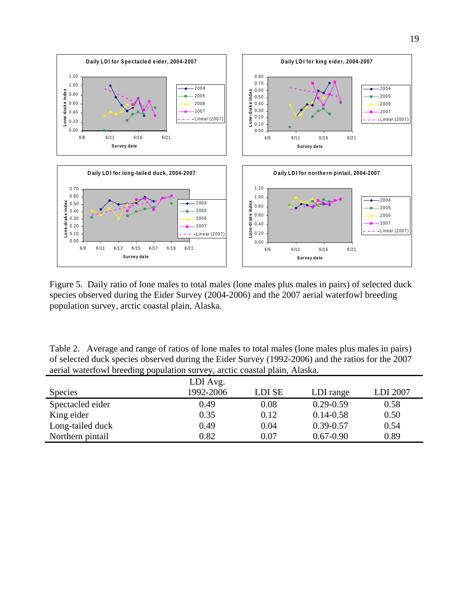

Figure 5. Daily ratio of lone males to total males (lone males plus males in pairs) of selected duck species observed during the Eider Survey (2004-2006) and the 2007 aerial waterfowl breeding population survey, arctic coastal plain, Alaska.

| Table 2. Average and range of ratios of lone males to total males (lone males plus males in pairs) |  |
|----------------------------------------------------------------------------------------------------|--|
| of selected duck species observed during the Eider Survey (1992-2006) and the ratios for the 2007  |  |
| aerial waterfowl breeding population survey, arctic coastal plain, Alaska.                         |  |

|                  | LDI Avg.  |        |               |          |
|------------------|-----------|--------|---------------|----------|
| <b>Species</b>   | 1992-2006 | LDI SE | LDI range     | LDI 2007 |
| Spectacled eider | 0.49      | 0.08   | $0.29 - 0.59$ | 0.58     |
| King eider       | 0.35      | 0.12   | $0.14 - 0.58$ | 0.50     |
| Long-tailed duck | 0.49      | 0.04   | $0.39 - 0.57$ | 0.54     |
| Northern pintail | 0.82      | 0.07   | $0.67 - 0.90$ | 0.89     |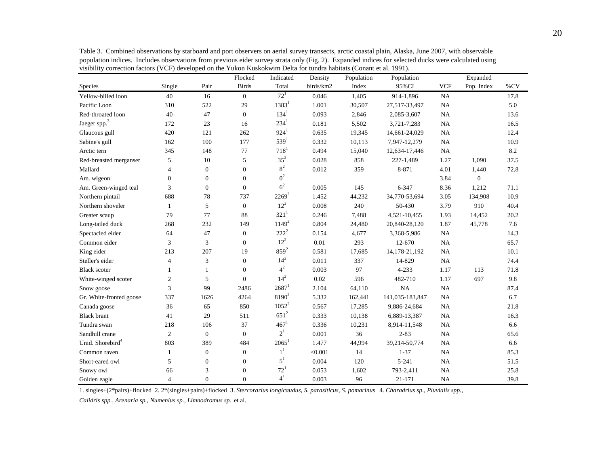Flocked Indicated Density Population Population Expanded Species Single Pair Birds Total birds/km2 Index 95%CI VCF Pop. Index %CV Yellow-billed loon 40 16 0 0  $72^1$  0.046 1,405 914-1,896 NA 17.8 Pacific Loon 310 522 29 1383<sup>1</sup> 1.001 30,507 27,517-33,497 NA 5.0 Red-throated loon 40 47 0 134<sup>1</sup> 0.093 2,846 2,085-3,607 NA 13.6 Jaeger spp.<sup>3</sup> 172 23 16 234<sup>1</sup> 0.181 5,502 3,721-7,283 NA 16.5 Glaucous gull  $420$   $121$   $262$   $924$   $0.635$   $19,345$   $14,661-24,029$  NA  $12.4$ Sabine's gull 162 100 177 539<sup>1</sup> 0.332 10,113 7,947-12,279 NA 10.9 Arctic tern 345 148 77 718<sup>1</sup> 0.494 15,040 12,634-17,446 NA 8.2 Red-breasted merganser 5 10 5 35<sup>2</sup> 0.028 858 227-1,489 1.27 1,090 37.5 Mallard 4 0 0 0  $8^2$  $\frac{2}{1}$  0.012 359 8-871 4.01 1,440 72.8 Am. wigeon  $0$  0 0 0  $0^2$  $\zeta$  3.84 0 Am. Green-winged teal 3 0 0 0  $6<sup>2</sup>$  $\approx$  0.005 145 6-347 8.36 1,212 71.1 Northern pintail 688 78 737  $2269^2$  1.452 44,232 34,770-53,694 3.05 134,908 10.9 Northern shoveler 1 5 0  $12^2$  0.008 240 50-430 3.79 910 40.4 Greater scaup 79 77 88  $321^1$  0.246 7,488 4,521-10,455 1.93 14,452 20.2 Long-tailed duck 268 232 149 1149<sup>2</sup> 0.804 24,480 20,840-28,120 1.87 45,778 7.6 Spectacled eider 64 47 0 222<sup>2</sup> 0.154 4,677 3,368-5,986 NA 14.3 Common eider 3 3 0 0  $12^2$  0.01 293 12-670 NA 65.7 King eider 213 207 19  $859^2$  0.581 17,685 14,178-21,192 NA 10.1 Steller's eider 4 3 0 0  $14^2$  0.011 337 14-829 NA 74.4 Black scoter 1 1 1 0  $4^2$  $\approx$  0.003 97 4-233 1.17 113 71.8 White-winged scoter 2 5 0 14<sup>2</sup> 0.02 596 482-710 1.17 697 9.8 Snow goose 3 99 2486  $2687^1$  2.104 64,110 NA NA 87.4 Gr. White-fronted goose  $337$  1626  $4264$   $8190^2$  5.332 162,441 141,035-183,847 NA 6.7 Canada goose 36 5 850 1052<sup>2</sup> 0.567 17,285 9,886-24,684 NA 21.8 Black brant 41 29 511 <sup>651</sup><sup>2</sup> 0.333 10,138 6,889-13,387 NA 16.3 Tundra swan 218 106 37  $467<sup>1</sup>$  0.336 10,231 8,914-11,548 NA 6.6 Sandhill crane 2 0  $\overline{0}$  $2<sup>1</sup>$  $0.001$  36 2-83 NA 65.6 65.6 Unid. Shorebird<sup>4</sup> 803 389 484 2065<sup>1</sup> 1.477 44,994 39,214-50,774 NA 6.6 Common raven 1 0  $\boldsymbol{0}$  $1<sup>1</sup>$  $\sim$  <0.001 14 1-37 NA 85.3 85.3 Short-eared owl 5 0 0 0 0  $5^1$  0.004 120 5-241 NA 51.5Snowy owl 66 3 0  $72^1$  0.053 1,602 793-2,411 NA 25.8 Golden eagle  $4 \qquad 0 \qquad 0$  $4^{1}$ 0.003 96 21-171 NA 39.8

Table 3. Combined observations by starboard and port observers on aerial survey transects, arctic coastal plain, Alaska, June 2007, with observable population indices. Includes observations from previous eider survey strata only (Fig. 2). Expanded indices for selected ducks were calculated using visibility correction factors (VCF) developed on the Yukon Kuskokwim Delta for tundra habitats (Conant et al. 1991).

1. singles+(2\*pairs)+flocked 2. 2\*(singles+pairs)+flocked 3. *Stercorarius longicaudus, S. parasiticus, S. pomarinus* 4. *Charadrius sp., Pluvialis spp.,*

*Calidris spp., Arenaria sp., Numenius sp., Limnodromus sp.* et al.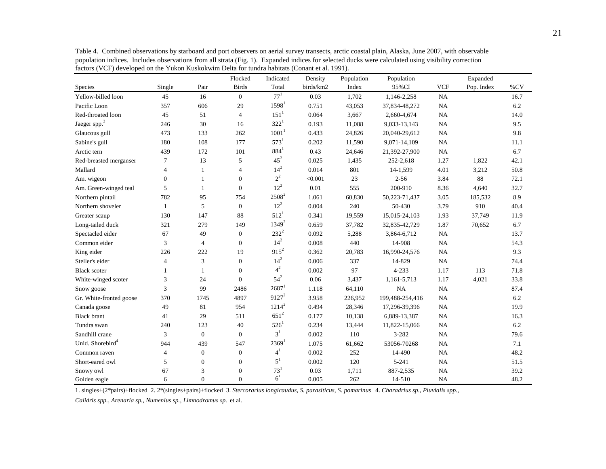|                              |                |                | Flocked        | Indicated           | Density   | Population | Population      |            | Expanded   |      |
|------------------------------|----------------|----------------|----------------|---------------------|-----------|------------|-----------------|------------|------------|------|
| Species                      | Single         | Pair           | <b>Birds</b>   | Total               | birds/km2 | Index      | 95%CI           | <b>VCF</b> | Pop. Index | %CV  |
| Yellow-billed loon           | 45             | 16             | $\mathbf{0}$   | $77^{1}$            | 0.03      | 1,702      | 1,146-2,258     | NA         |            | 16.7 |
| Pacific Loon                 | 357            | 606            | 29             | $1598^1$            | 0.751     | 43,053     | 37,834-48,272   | NA         |            | 6.2  |
| Red-throated loon            | 45             | 51             | $\overline{4}$ | $151^1$             | 0.064     | 3,667      | 2,660-4,674     | NA         |            | 14.0 |
| Jaeger spp. <sup>3</sup>     | 246            | 30             | 16             | $322^1$             | 0.193     | 11,088     | 9,033-13,143    | NA         |            | 9.5  |
| Glaucous gull                | 473            | 133            | 262            | 1001 <sup>1</sup>   | 0.433     | 24,826     | 20,040-29,612   | NA         |            | 9.8  |
| Sabine's gull                | 180            | 108            | 177            | $573^1$             | 0.202     | 11,590     | 9,071-14,109    | NA         |            | 11.1 |
| Arctic tern                  | 439            | 172            | 101            | $884^{1}$           | 0.43      | 24,646     | 21,392-27,900   | NA         |            | 6.7  |
| Red-breasted merganser       | 7              | 13             | 5              | $45^2$              | 0.025     | 1,435      | 252-2,618       | 1.27       | 1,822      | 42.1 |
| Mallard                      | $\overline{4}$ | 1              | $\overline{4}$ | $14^{2}$            | 0.014     | 801        | 14-1,599        | 4.01       | 3,212      | 50.8 |
| Am. wigeon                   | $\Omega$       | 1              | $\overline{0}$ | $2^2$               | < 0.001   | 23         | $2 - 56$        | 3.84       | 88         | 72.1 |
| Am. Green-winged teal        | 5              | 1              | $\overline{0}$ | $12^2$              | 0.01      | 555        | 200-910         | 8.36       | 4,640      | 32.7 |
| Northern pintail             | 782            | 95             | 754            | $2508^2$            | 1.061     | 60,830     | 50,223-71,437   | 3.05       | 185,532    | 8.9  |
| Northern shoveler            | $\mathbf{1}$   | 5              | $\overline{0}$ | $12^{2}$            | 0.004     | 240        | 50-430          | 3.79       | 910        | 40.4 |
| Greater scaup                | 130            | 147            | 88             | $512^1$             | 0.341     | 19,559     | 15,015-24,103   | 1.93       | 37,749     | 11.9 |
| Long-tailed duck             | 321            | 279            | 149            | $1349^{2}$          | 0.659     | 37,782     | 32,835-42,729   | 1.87       | 70,652     | 6.7  |
| Spectacled eider             | 67             | 49             | $\overline{0}$ | $232^{2}$           | 0.092     | 5,288      | 3,864-6,712     | <b>NA</b>  |            | 13.7 |
| Common eider                 | 3              | $\overline{4}$ | $\overline{0}$ | $14^{2}$            | 0.008     | 440        | 14-908          | NA         |            | 54.3 |
| King eider                   | 226            | 222            | 19             | $915^2$             | 0.362     | 20,783     | 16,990-24,576   | NA         |            | 9.3  |
| Steller's eider              | $\overline{4}$ | 3              | $\overline{0}$ | $14^{2}$            | 0.006     | 337        | 14-829          | NA         |            | 74.4 |
| <b>Black scoter</b>          |                | 1              | $\overline{0}$ | $4^2$               | 0.002     | 97         | $4 - 233$       | 1.17       | 113        | 71.8 |
| White-winged scoter          | 3              | 24             | $\mathbf{0}$   | $54^{2}$            | 0.06      | 3,437      | 1,161-5,713     | 1.17       | 4,021      | 33.8 |
| Snow goose                   | 3              | 99             | 2486           | $2687^1$            | 1.118     | 64,110     | <b>NA</b>       | <b>NA</b>  |            | 87.4 |
| Gr. White-fronted goose      | 370            | 1745           | 4897           | $9127^2$            | 3.958     | 226,952    | 199,488-254,416 | NA         |            | 6.2  |
| Canada goose                 | 49             | 81             | 954            | $1214^2$            | 0.494     | 28,346     | 17,296-39,396   | NA         |            | 19.9 |
| <b>Black brant</b>           | 41             | 29             | 511            | $651^2$             | 0.177     | 10,138     | 6,889-13,387    | NA         |            | 16.3 |
| Tundra swan                  | 240            | 123            | 40             | $526^1$             | 0.234     | 13,444     | 11,822-15,066   | NA         |            | 6.2  |
| Sandhill crane               | 3              | $\mathbf{0}$   | $\overline{0}$ | 3 <sup>1</sup>      | 0.002     | 110        | 3-282           | NA         |            | 79.6 |
| Unid. Shorebird <sup>4</sup> | 944            | 439            | 547            | $2369$ <sup>1</sup> | 1.075     | 61,662     | 53056-70268     | NA         |            | 7.1  |
| Common raven                 | $\overline{4}$ | $\overline{0}$ | $\overline{0}$ | $4^1$               | 0.002     | 252        | 14-490          | NA         |            | 48.2 |
| Short-eared owl              | 5              | $\mathbf{0}$   | $\overline{0}$ | $5^1$               | 0.002     | 120        | $5 - 241$       | NA         |            | 51.5 |
| Snowy owl                    | 67             | 3              | $\overline{0}$ | $73^{1}$            | 0.03      | 1,711      | 887-2,535       | <b>NA</b>  |            | 39.2 |
| Golden eagle                 | 6              | $\Omega$       | $\Omega$       | 6 <sup>1</sup>      | 0.005     | 262        | 14-510          | NA         |            | 48.2 |

Table 4. Combined observations by starboard and port observers on aerial survey transects, arctic coastal plain, Alaska, June 2007, with observable population indices. Includes observations from all strata (Fig. 1). Expanded indices for selected ducks were calculated using visibility correction factors (VCF) developed on the Yukon Kuskokwim Delta for tundra habitats (Conant et al. 1991).

1. singles+(2\*pairs)+flocked 2. 2\*(singles+pairs)+flocked 3. *Stercorarius longicaudus, S. parasiticus, S. pomarinus* 4. *Charadrius sp., Pluvialis spp.,*

*Calidris spp., Arenaria sp., Numenius sp., Limnodromus sp.* et al.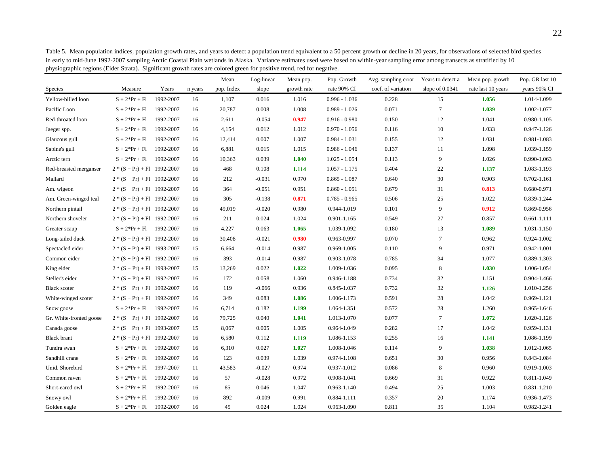|                         |                               |           |         | Mean       | Log-linear | Mean pop.   | Pop. Growth     | Avg. sampling error | Years to detect a | Mean pop. growth   | Pop. GR last 10 |
|-------------------------|-------------------------------|-----------|---------|------------|------------|-------------|-----------------|---------------------|-------------------|--------------------|-----------------|
| Species                 | Measure                       | Years     | n years | pop. Index | slope      | growth rate | rate 90% CI     | coef. of variation  | slope of $0.0341$ | rate last 10 years | years 90% CI    |
| Yellow-billed loon      | $S + 2*Pr + Fl$               | 1992-2007 | 16      | 1,107      | 0.016      | 1.016       | $0.996 - 1.036$ | 0.228               | 15                | 1.056              | 1.014-1.099     |
| Pacific Loon            | $S + 2*Pr + Fl$               | 1992-2007 | 16      | 20,787     | 0.008      | 1.008       | $0.989 - 1.026$ | 0.071               | $\tau$            | 1.039              | 1.002-1.077     |
| Red-throated loon       | $S + 2*Pr + Fl$               | 1992-2007 | 16      | 2,611      | $-0.054$   | 0.947       | $0.916 - 0.980$ | 0.150               | 12                | 1.041              | 0.980-1.105     |
| Jaeger spp.             | $S + 2*Pr + Fl$               | 1992-2007 | 16      | 4,154      | 0.012      | 1.012       | $0.970 - 1.056$ | 0.116               | 10                | 1.033              | 0.947-1.126     |
| Glaucous gull           | $S + 2*Pr + Fl$               | 1992-2007 | 16      | 12,414     | 0.007      | 1.007       | $0.984 - 1.031$ | 0.155               | 12                | 1.031              | 0.981-1.083     |
| Sabine's gull           | $S + 2*Pr + Fl$               | 1992-2007 | 16      | 6,881      | 0.015      | 1.015       | $0.986 - 1.046$ | 0.137               | 11                | 1.098              | 1.039-1.159     |
| Arctic tern             | $S + 2*Pr + Fl$               | 1992-2007 | 16      | 10,363     | 0.039      | 1.040       | $1.025 - 1.054$ | 0.113               | 9                 | 1.026              | 0.990-1.063     |
| Red-breasted merganser  | $2*(S+Pr) + F1$ 1992-2007     |           | 16      | 468        | 0.108      | 1.114       | $1.057 - 1.175$ | 0.404               | 22                | 1.137              | 1.083-1.193     |
| Mallard                 | $2*(S+Pr) + Fl$ 1992-2007     |           | 16      | 212        | $-0.031$   | 0.970       | $0.865 - 1.087$ | 0.640               | 30                | 0.903              | $0.702 - 1.161$ |
| Am. wigeon              | $2*(S+Pr) + F1$ 1992-2007     |           | 16      | 364        | $-0.051$   | 0.951       | $0.860 - 1.051$ | 0.679               | 31                | 0.813              | 0.680-0.971     |
| Am. Green-winged teal   | $2*(S+Pr) + Fl$ 1992-2007     |           | 16      | 305        | $-0.138$   | 0.871       | $0.785 - 0.965$ | 0.506               | 25                | 1.022              | 0.839-1.244     |
| Northern pintail        | $2 * (S + Pr) + Fl$ 1992-2007 |           | 16      | 49,019     | $-0.020$   | 0.980       | 0.944-1.019     | 0.101               | 9                 | 0.912              | 0.869-0.956     |
| Northern shoveler       | $2 * (S + Pr) + Fl$ 1992-2007 |           | 16      | 211        | 0.024      | 1.024       | 0.901-1.165     | 0.549               | 27                | 0.857              | $0.661 - 1.111$ |
| Greater scaup           | $S + 2*Pr + Fl$ 1992-2007     |           | 16      | 4,227      | 0.063      | 1.065       | 1.039-1.092     | 0.180               | 13                | 1.089              | 1.031-1.150     |
| Long-tailed duck        | $2*(S+Pr) + Fl$ 1992-2007     |           | 16      | 30,408     | $-0.021$   | 0.980       | 0.963-0.997     | 0.070               | $\tau$            | 0.962              | 0.924-1.002     |
| Spectacled eider        | $2*(S+Pr) + Fl$ 1993-2007     |           | 15      | 6,664      | $-0.014$   | 0.987       | 0.969-1.005     | 0.110               | 9                 | 0.971              | 0.942-1.001     |
| Common eider            | $2*(S+Pr) + F1$ 1992-2007     |           | 16      | 393        | $-0.014$   | 0.987       | 0.903-1.078     | 0.785               | 34                | 1.077              | 0.889-1.303     |
| King eider              | $2*(S+Pr) + F1$ 1993-2007     |           | 15      | 13,269     | 0.022      | 1.022       | 1.009-1.036     | 0.095               | 8                 | 1.030              | 1.006-1.054     |
| Steller's eider         | $2*(S+Pr) + Fl$ 1992-2007     |           | 16      | 172        | 0.058      | 1.060       | 0.946-1.188     | 0.734               | 32                | 1.151              | 0.904-1.466     |
| <b>Black scoter</b>     | $2*(S+Pr) + Fl$ 1992-2007     |           | 16      | 119        | $-0.066$   | 0.936       | 0.845-1.037     | 0.732               | 32                | 1.126              | 1.010-1.256     |
| White-winged scoter     | $2*(S+Pr) + F1$ 1992-2007     |           | 16      | 349        | 0.083      | 1.086       | 1.006-1.173     | 0.591               | 28                | 1.042              | 0.969-1.121     |
| Snow goose              | $S + 2*Pr + Fl$ 1992-2007     |           | 16      | 6,714      | 0.182      | 1.199       | 1.064-1.351     | 0.572               | 28                | 1.260              | 0.965-1.646     |
| Gr. White-fronted goose | $2*(S+Pr) + Fl$ 1992-2007     |           | 16      | 79,725     | 0.040      | 1.041       | 1.013-1.070     | 0.077               | $\tau$            | 1.072              | 1.020-1.126     |
| Canada goose            | $2*(S+Pr) + F1$ 1993-2007     |           | 15      | 8,067      | 0.005      | 1.005       | 0.964-1.049     | 0.282               | 17                | 1.042              | 0.959-1.131     |
| <b>Black</b> brant      | $2*(S+Pr) + Fl$ 1992-2007     |           | 16      | 6,580      | 0.112      | 1.119       | 1.086-1.153     | 0.255               | 16                | 1.141              | 1.086-1.199     |
| Tundra swan             | $S + 2*Pr + Fl$               | 1992-2007 | 16      | 6,310      | 0.027      | 1.027       | 1.008-1.046     | 0.114               | 9                 | 1.038              | 1.012-1.065     |
| Sandhill crane          | $S + 2*Pr + Fl$               | 1992-2007 | 16      | 123        | 0.039      | 1.039       | 0.974-1.108     | 0.651               | 30                | 0.956              | 0.843-1.084     |
| Unid. Shorebird         | $S + 2*Pr + Fl$               | 1997-2007 | 11      | 43,583     | $-0.027$   | 0.974       | 0.937-1.012     | 0.086               | 8                 | 0.960              | 0.919-1.003     |
| Common raven            | $S + 2*Pr + Fl$               | 1992-2007 | 16      | 57         | $-0.028$   | 0.972       | 0.908-1.041     | 0.669               | 31                | 0.922              | 0.811-1.049     |
| Short-eared owl         | $S + 2*Pr + Fl$               | 1992-2007 | 16      | 85         | 0.046      | 1.047       | 0.963-1.140     | 0.494               | 25                | 1.003              | 0.831-1.210     |
| Snowy owl               | $S + 2*Pr + Fl$               | 1992-2007 | 16      | 892        | $-0.009$   | 0.991       | 0.884-1.111     | 0.357               | 20                | 1.174              | 0.936-1.473     |
| Golden eagle            | $S + 2*Pr + Fl$               | 1992-2007 | 16      | 45         | 0.024      | 1.024       | 0.963-1.090     | 0.811               | 35                | 1.104              | 0.982-1.241     |

Table 5. Mean population indices, population growth rates, and years to detect a population trend equivalent to a 50 percent growth or decline in 20 years, for observations of selected bird species in early to mid-June 1992-2007 sampling Arctic Coastal Plain wetlands in Alaska. Variance estimates used were based on within-year sampling error among transects as stratified by 10 physiographic regions (Eider Strata). Significant growth rates are colored green for positive trend, red for negative.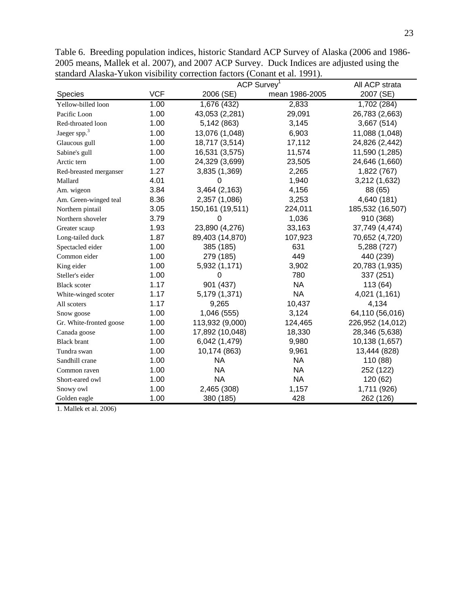|                          |            | ACP Survey <sup>1</sup> | All ACP strata |                  |
|--------------------------|------------|-------------------------|----------------|------------------|
| Species                  | <b>VCF</b> | 2006 (SE)               | mean 1986-2005 | 2007 (SE)        |
| Yellow-billed loon       | 1.00       | 1,676 (432)             | 2,833          | 1,702 (284)      |
| Pacific Loon             | 1.00       | 43,053 (2,281)          | 29,091         | 26,783 (2,663)   |
| Red-throated loon        | 1.00       | 5,142 (863)             | 3,145          | 3,667 (514)      |
| Jaeger spp. <sup>3</sup> | 1.00       | 13,076 (1,048)          | 6,903          | 11,088 (1,048)   |
| Glaucous gull            | 1.00       | 18,717 (3,514)          | 17,112         | 24,826 (2,442)   |
| Sabine's gull            | 1.00       | 16,531 (3,575)          | 11,574         | 11,590 (1,285)   |
| Arctic tern              | 1.00       | 24,329 (3,699)          | 23,505         | 24,646 (1,660)   |
| Red-breasted merganser   | 1.27       | 3,835 (1,369)           | 2,265          | 1,822 (767)      |
| Mallard                  | 4.01       | O                       | 1,940          | 3,212 (1,632)    |
| Am. wigeon               | 3.84       | 3,464 (2,163)           | 4,156          | 88 (65)          |
| Am. Green-winged teal    | 8.36       | 2,357 (1,086)           | 3,253          | 4,640 (181)      |
| Northern pintail         | 3.05       | 150,161 (19,511)        | 224,011        | 185,532 (16,507) |
| Northern shoveler        | 3.79       | 0                       | 1,036          | 910 (368)        |
| Greater scaup            | 1.93       | 23,890 (4,276)          | 33,163         | 37,749 (4,474)   |
| Long-tailed duck         | 1.87       | 89,403 (14,870)         | 107,923        | 70,652 (4,720)   |
| Spectacled eider         | 1.00       | 385 (185)               | 631            | 5,288 (727)      |
| Common eider             | 1.00       | 279 (185)               | 449            | 440 (239)        |
| King eider               | 1.00       | 5,932 (1,171)           | 3,902          | 20,783 (1,935)   |
| Steller's eider          | 1.00       | O                       | 780            | 337 (251)        |
| <b>Black scoter</b>      | 1.17       | 901 (437)               | <b>NA</b>      | 113 (64)         |
| White-winged scoter      | 1.17       | 5,179 (1,371)           | <b>NA</b>      | 4,021 (1,161)    |
| All scoters              | 1.17       | 9,265                   | 10,437         | 4,134            |
| Snow goose               | 1.00       | 1,046 (555)             | 3,124          | 64,110 (56,016)  |
| Gr. White-fronted goose  | 1.00       | 113,932 (9,000)         | 124,465        | 226,952 (14,012) |
| Canada goose             | 1.00       | 17,892 (10,048)         | 18,330         | 28,346 (5,638)   |
| <b>Black brant</b>       | 1.00       | 6,042 (1,479)           | 9,980          | 10,138 (1,657)   |
| Tundra swan              | 1.00       | 10,174 (863)            | 9,961          | 13,444 (828)     |
| Sandhill crane           | 1.00       | <b>NA</b>               | <b>NA</b>      | 110 (88)         |
| Common raven             | 1.00       | <b>NA</b>               | <b>NA</b>      | 252 (122)        |
| Short-eared owl          | 1.00       | <b>NA</b>               | <b>NA</b>      | 120 (62)         |
| Snowy owl                | 1.00       | 2,465 (308)             | 1,157          | 1,711 (926)      |
| Golden eagle             | 1.00       | 380 (185)               | 428            | 262 (126)        |

Table 6. Breeding population indices, historic Standard ACP Survey of Alaska (2006 and 1986- 2005 means, Mallek et al. 2007), and 2007 ACP Survey. Duck Indices are adjusted using the standard Alaska-Yukon visibility correction factors (Conant et al. 1991).

1. Mallek et al. 2006)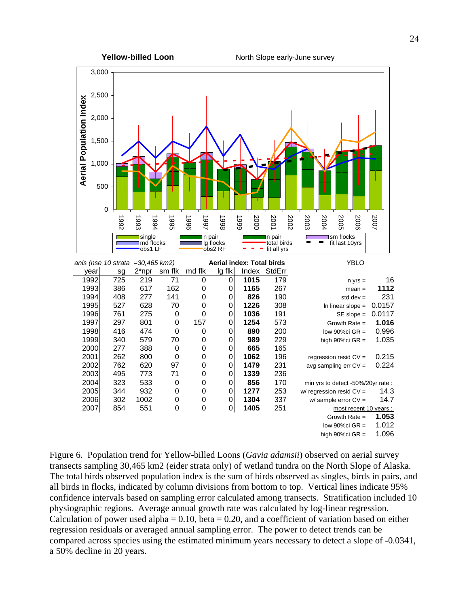

Figure 6. Population trend for Yellow-billed Loons (*Gavia adamsii*) observed on aerial survey transects sampling 30,465 km2 (eider strata only) of wetland tundra on the North Slope of Alaska. The total birds observed population index is the sum of birds observed as singles, birds in pairs, and all birds in flocks, indicated by column divisions from bottom to top. Vertical lines indicate 95% confidence intervals based on sampling error calculated among transects. Stratification included 10 physiographic regions. Average annual growth rate was calculated by log-linear regression. Calculation of power used alpha =  $0.10$ , beta =  $0.20$ , and a coefficient of variation based on either regression residuals or averaged annual sampling error. The power to detect trends can be compared across species using the estimated minimum years necessary to detect a slope of -0.0341, a 50% decline in 20 years.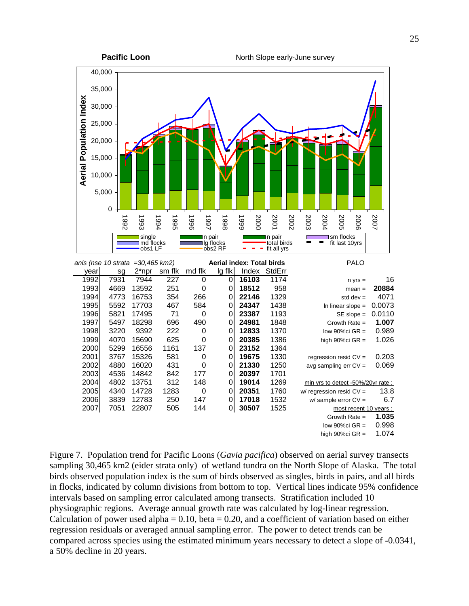

Figure 7. Population trend for Pacific Loons (*Gavia pacifica*) observed on aerial survey transects sampling 30,465 km2 (eider strata only) of wetland tundra on the North Slope of Alaska. The total birds observed population index is the sum of birds observed as singles, birds in pairs, and all birds in flocks, indicated by column divisions from bottom to top. Vertical lines indicate 95% confidence intervals based on sampling error calculated among transects. Stratification included 10 physiographic regions. Average annual growth rate was calculated by log-linear regression. Calculation of power used alpha =  $0.10$ , beta = 0.20, and a coefficient of variation based on either regression residuals or averaged annual sampling error. The power to detect trends can be compared across species using the estimated minimum years necessary to detect a slope of -0.0341, a 50% decline in 20 years.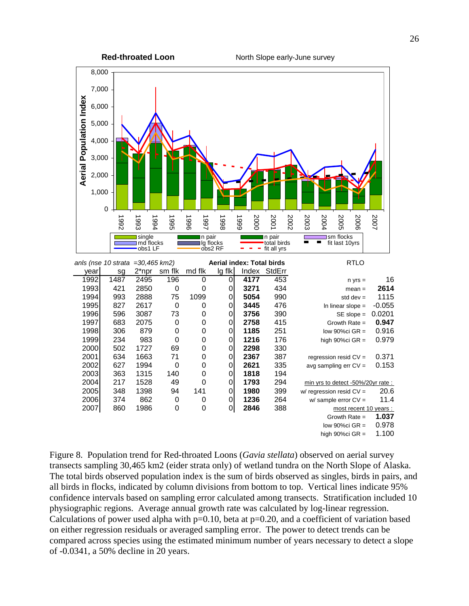

Figure 8. Population trend for Red-throated Loons (*Gavia stellata*) observed on aerial survey transects sampling 30,465 km2 (eider strata only) of wetland tundra on the North Slope of Alaska. The total birds observed population index is the sum of birds observed as singles, birds in pairs, and all birds in flocks, indicated by column divisions from bottom to top. Vertical lines indicate 95% confidence intervals based on sampling error calculated among transects. Stratification included 10 physiographic regions. Average annual growth rate was calculated by log-linear regression. Calculations of power used alpha with  $p=0.10$ , beta at  $p=0.20$ , and a coefficient of variation based on either regression residuals or averaged sampling error. The power to detect trends can be compared across species using the estimated minimum number of years necessary to detect a slope of -0.0341, a 50% decline in 20 years.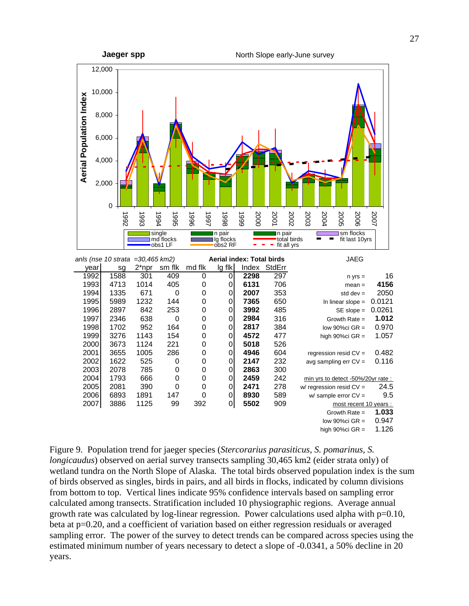

Figure 9. Population trend for jaeger species (*Stercorarius parasiticus, S. pomarinus, S. longicaudus*) observed on aerial survey transects sampling 30,465 km2 (eider strata only) of wetland tundra on the North Slope of Alaska. The total birds observed population index is the sum of birds observed as singles, birds in pairs, and all birds in flocks, indicated by column divisions from bottom to top. Vertical lines indicate 95% confidence intervals based on sampling error calculated among transects. Stratification included 10 physiographic regions. Average annual growth rate was calculated by log-linear regression. Power calculations used alpha with  $p=0.10$ , beta at p=0.20, and a coefficient of variation based on either regression residuals or averaged sampling error. The power of the survey to detect trends can be compared across species using the estimated minimum number of years necessary to detect a slope of -0.0341, a 50% decline in 20 years.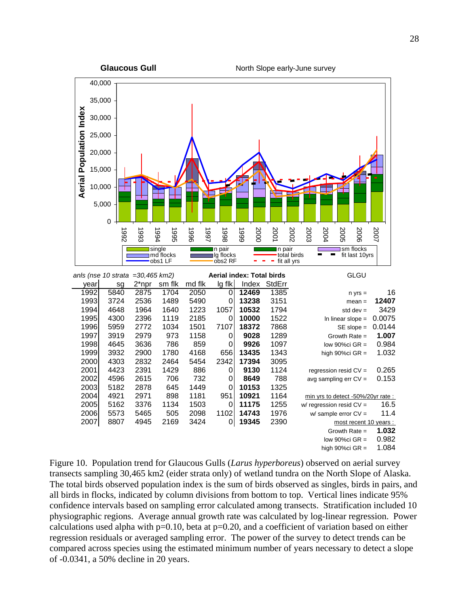

Figure 10. Population trend for Glaucous Gulls (*Larus hyperboreus*) observed on aerial survey transects sampling 30,465 km2 (eider strata only) of wetland tundra on the North Slope of Alaska. The total birds observed population index is the sum of birds observed as singles, birds in pairs, and all birds in flocks, indicated by column divisions from bottom to top. Vertical lines indicate 95% confidence intervals based on sampling error calculated among transects. Stratification included 10 physiographic regions. Average annual growth rate was calculated by log-linear regression. Power calculations used alpha with  $p=0.10$ , beta at  $p=0.20$ , and a coefficient of variation based on either regression residuals or averaged sampling error. The power of the survey to detect trends can be compared across species using the estimated minimum number of years necessary to detect a slope of -0.0341, a 50% decline in 20 years.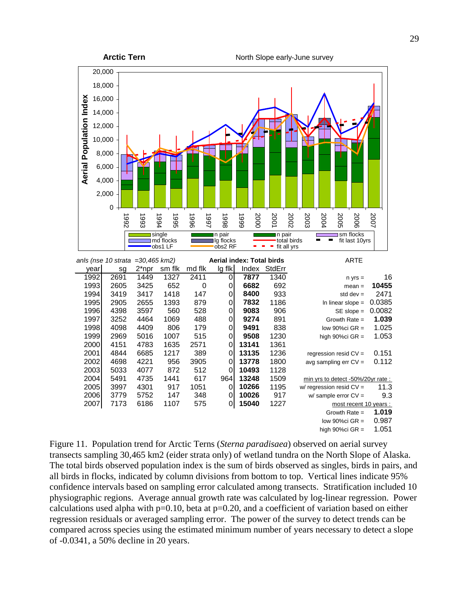

Figure 11. Population trend for Arctic Terns (*Sterna paradisaea*) observed on aerial survey transects sampling 30,465 km2 (eider strata only) of wetland tundra on the North Slope of Alaska. The total birds observed population index is the sum of birds observed as singles, birds in pairs, and all birds in flocks, indicated by column divisions from bottom to top. Vertical lines indicate 95% confidence intervals based on sampling error calculated among transects. Stratification included 10 physiographic regions. Average annual growth rate was calculated by log-linear regression. Power calculations used alpha with  $p=0.10$ , beta at  $p=0.20$ , and a coefficient of variation based on either regression residuals or averaged sampling error. The power of the survey to detect trends can be compared across species using the estimated minimum number of years necessary to detect a slope of -0.0341, a 50% decline in 20 years.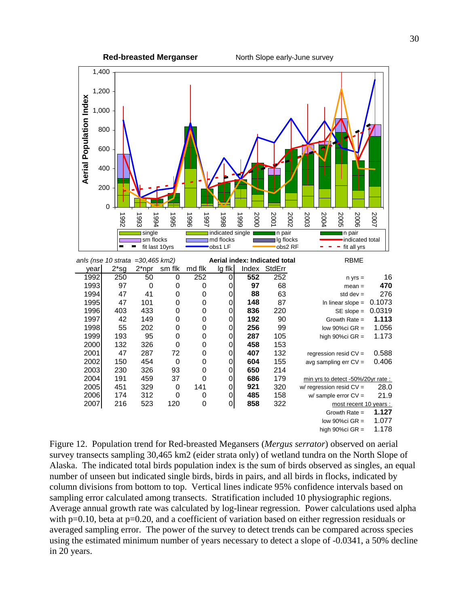



low  $90\%$ ci GR = 1.077 high  $90\%$ ci GR = 1.178

Figure 12. Population trend for Red-breasted Megansers (*Mergus serrator*) observed on aerial survey transects sampling 30,465 km2 (eider strata only) of wetland tundra on the North Slope of Alaska. The indicated total birds population index is the sum of birds observed as singles, an equal number of unseen but indicated single birds, birds in pairs, and all birds in flocks, indicated by column divisions from bottom to top. Vertical lines indicate 95% confidence intervals based on sampling error calculated among transects. Stratification included 10 physiographic regions. Average annual growth rate was calculated by log-linear regression. Power calculations used alpha with p=0.10, beta at p=0.20, and a coefficient of variation based on either regression residuals or averaged sampling error. The power of the survey to detect trends can be compared across species using the estimated minimum number of years necessary to detect a slope of -0.0341, a 50% decline in 20 years.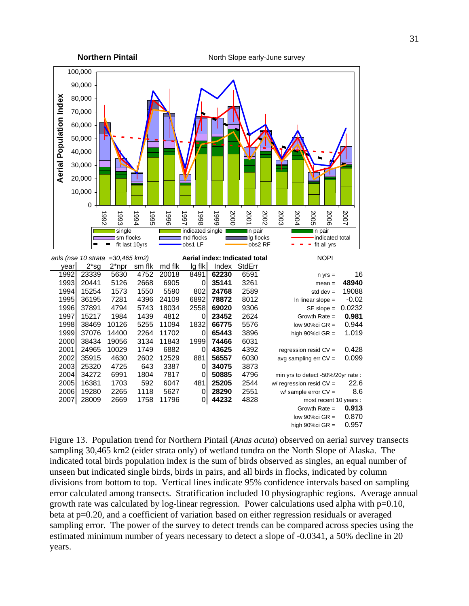

Figure 13. Population trend for Northern Pintail (*Anas acuta*) observed on aerial survey transects sampling 30,465 km2 (eider strata only) of wetland tundra on the North Slope of Alaska. The indicated total birds population index is the sum of birds observed as singles, an equal number of unseen but indicated single birds, birds in pairs, and all birds in flocks, indicated by column divisions from bottom to top. Vertical lines indicate 95% confidence intervals based on sampling error calculated among transects. Stratification included 10 physiographic regions. Average annual growth rate was calculated by log-linear regression. Power calculations used alpha with  $p=0.10$ , beta at p=0.20, and a coefficient of variation based on either regression residuals or averaged sampling error. The power of the survey to detect trends can be compared across species using the estimated minimum number of years necessary to detect a slope of -0.0341, a 50% decline in 20 years.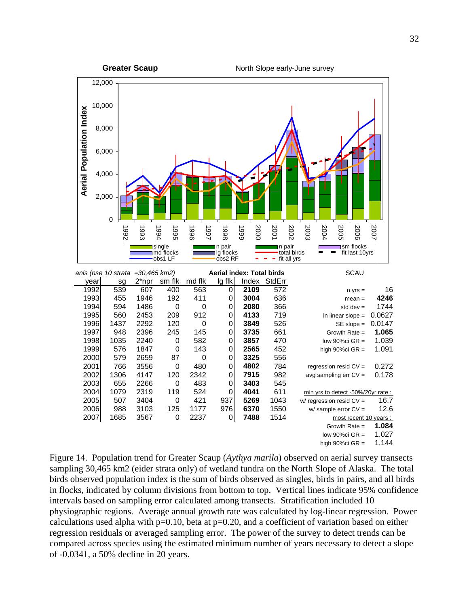

Figure 14. Population trend for Greater Scaup (*Aythya marila*) observed on aerial survey transects sampling 30,465 km2 (eider strata only) of wetland tundra on the North Slope of Alaska. The total birds observed population index is the sum of birds observed as singles, birds in pairs, and all birds in flocks, indicated by column divisions from bottom to top. Vertical lines indicate 95% confidence intervals based on sampling error calculated among transects. Stratification included 10 physiographic regions. Average annual growth rate was calculated by log-linear regression. Power calculations used alpha with  $p=0.10$ , beta at  $p=0.20$ , and a coefficient of variation based on either regression residuals or averaged sampling error. The power of the survey to detect trends can be compared across species using the estimated minimum number of years necessary to detect a slope of -0.0341, a 50% decline in 20 years.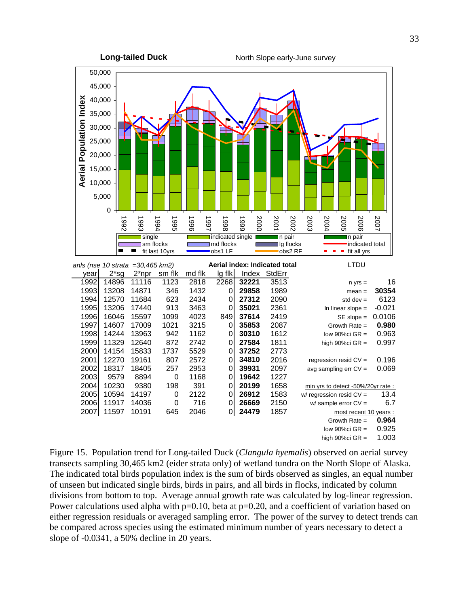**Long-tailed Duck** North Slope early-June survey



Figure 15. Population trend for Long-tailed Duck (*Clangula hyemalis*) observed on aerial survey transects sampling 30,465 km2 (eider strata only) of wetland tundra on the North Slope of Alaska. The indicated total birds population index is the sum of birds observed as singles, an equal number of unseen but indicated single birds, birds in pairs, and all birds in flocks, indicated by column divisions from bottom to top. Average annual growth rate was calculated by log-linear regression. Power calculations used alpha with  $p=0.10$ , beta at  $p=0.20$ , and a coefficient of variation based on either regression residuals or averaged sampling error. The power of the survey to detect trends can be compared across species using the estimated minimum number of years necessary to detect a slope of -0.0341, a 50% decline in 20 years.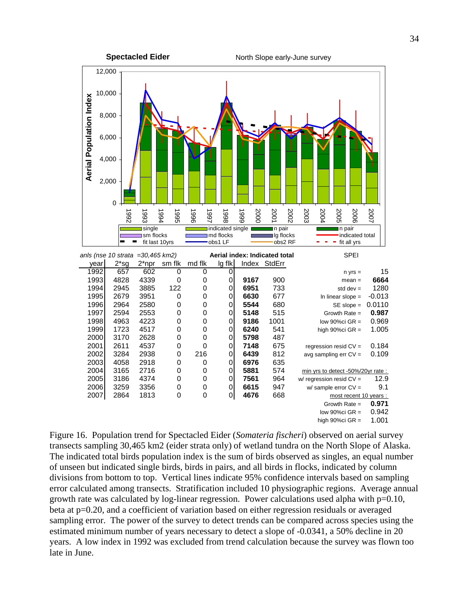

Figure 16. Population trend for Spectacled Eider (*Somateria fischeri*) observed on aerial survey transects sampling 30,465 km2 (eider strata only) of wetland tundra on the North Slope of Alaska. The indicated total birds population index is the sum of birds observed as singles, an equal number of unseen but indicated single birds, birds in pairs, and all birds in flocks, indicated by column divisions from bottom to top. Vertical lines indicate 95% confidence intervals based on sampling error calculated among transects. Stratification included 10 physiographic regions. Average annual growth rate was calculated by log-linear regression. Power calculations used alpha with  $p=0.10$ , beta at p=0.20, and a coefficient of variation based on either regression residuals or averaged sampling error. The power of the survey to detect trends can be compared across species using the estimated minimum number of years necessary to detect a slope of -0.0341, a 50% decline in 20 years. A low index in 1992 was excluded from trend calculation because the survey was flown too late in June.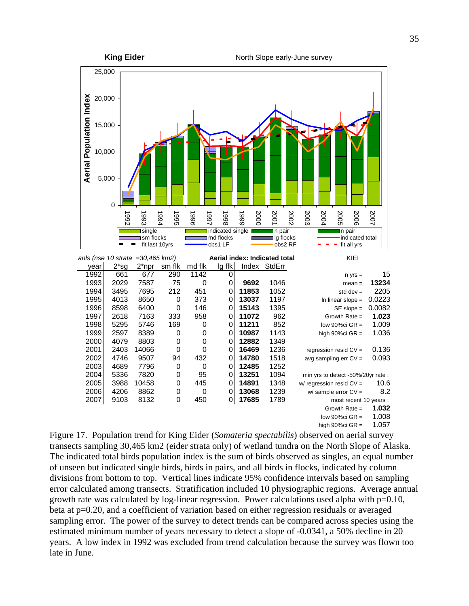

high  $90\%$ ci GR = 1.057

Figure 17. Population trend for King Eider (*Somateria spectabilis*) observed on aerial survey transects sampling 30,465 km2 (eider strata only) of wetland tundra on the North Slope of Alaska. The indicated total birds population index is the sum of birds observed as singles, an equal number of unseen but indicated single birds, birds in pairs, and all birds in flocks, indicated by column divisions from bottom to top. Vertical lines indicate 95% confidence intervals based on sampling error calculated among transects. Stratification included 10 physiographic regions. Average annual growth rate was calculated by log-linear regression. Power calculations used alpha with  $p=0.10$ , beta at p=0.20, and a coefficient of variation based on either regression residuals or averaged sampling error. The power of the survey to detect trends can be compared across species using the estimated minimum number of years necessary to detect a slope of -0.0341, a 50% decline in 20 years. A low index in 1992 was excluded from trend calculation because the survey was flown too late in June.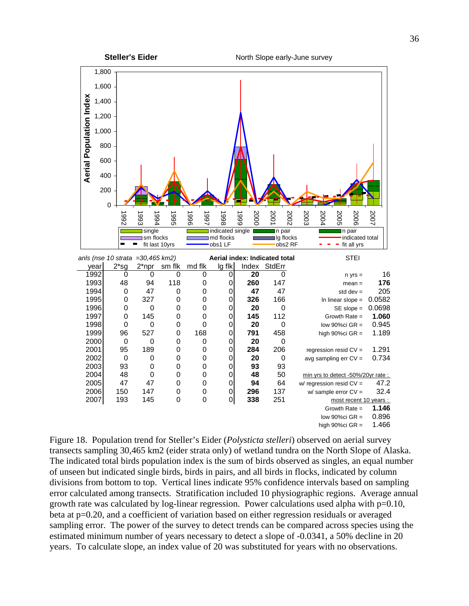

Figure 18. Population trend for Steller's Eider (*Polysticta stelleri*) observed on aerial survey transects sampling 30,465 km2 (eider strata only) of wetland tundra on the North Slope of Alaska. The indicated total birds population index is the sum of birds observed as singles, an equal number of unseen but indicated single birds, birds in pairs, and all birds in flocks, indicated by column divisions from bottom to top. Vertical lines indicate 95% confidence intervals based on sampling error calculated among transects. Stratification included 10 physiographic regions. Average annual growth rate was calculated by log-linear regression. Power calculations used alpha with  $p=0.10$ , beta at p=0.20, and a coefficient of variation based on either regression residuals or averaged sampling error. The power of the survey to detect trends can be compared across species using the estimated minimum number of years necessary to detect a slope of -0.0341, a 50% decline in 20 years. To calculate slope, an index value of 20 was substituted for years with no observations.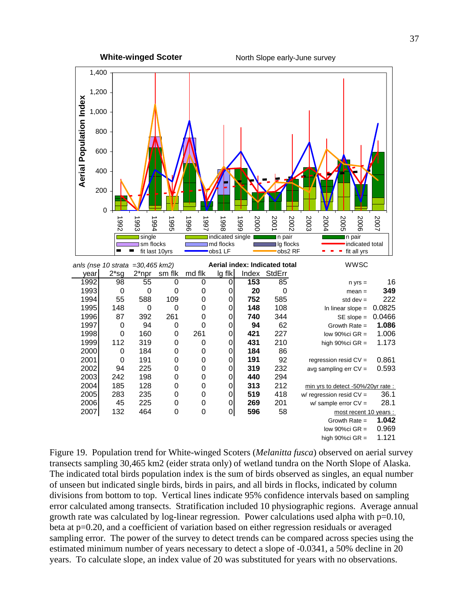

Figure 19. Population trend for White-winged Scoters (*Melanitta fusca*) observed on aerial survey transects sampling 30,465 km2 (eider strata only) of wetland tundra on the North Slope of Alaska. The indicated total birds population index is the sum of birds observed as singles, an equal number of unseen but indicated single birds, birds in pairs, and all birds in flocks, indicated by column divisions from bottom to top. Vertical lines indicate 95% confidence intervals based on sampling error calculated among transects. Stratification included 10 physiographic regions. Average annual growth rate was calculated by log-linear regression. Power calculations used alpha with  $p=0.10$ , beta at p=0.20, and a coefficient of variation based on either regression residuals or averaged sampling error. The power of the survey to detect trends can be compared across species using the estimated minimum number of years necessary to detect a slope of -0.0341, a 50% decline in 20 years. To calculate slope, an index value of 20 was substituted for years with no observations.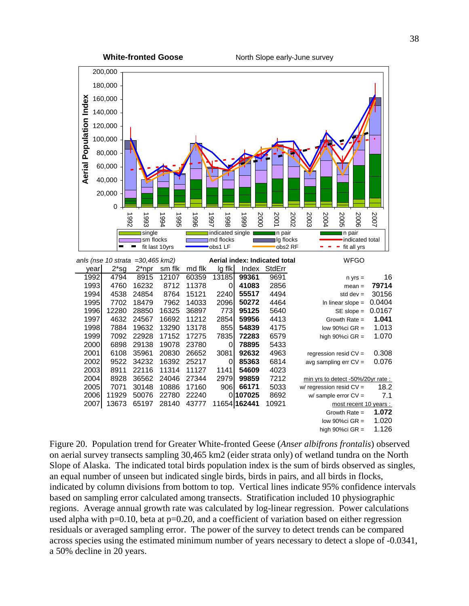

high  $90\%$ ci GR = 1.126

Figure 20. Population trend for Greater White-fronted Geese (*Anser albifrons frontalis*) observed on aerial survey transects sampling 30,465 km2 (eider strata only) of wetland tundra on the North Slope of Alaska. The indicated total birds population index is the sum of birds observed as singles, an equal number of unseen but indicated single birds, birds in pairs, and all birds in flocks, indicated by column divisions from bottom to top. Vertical lines indicate 95% confidence intervals based on sampling error calculated among transects. Stratification included 10 physiographic regions. Average annual growth rate was calculated by log-linear regression. Power calculations used alpha with  $p=0.10$ , beta at  $p=0.20$ , and a coefficient of variation based on either regression residuals or averaged sampling error. The power of the survey to detect trends can be compared across species using the estimated minimum number of years necessary to detect a slope of -0.0341, a 50% decline in 20 years.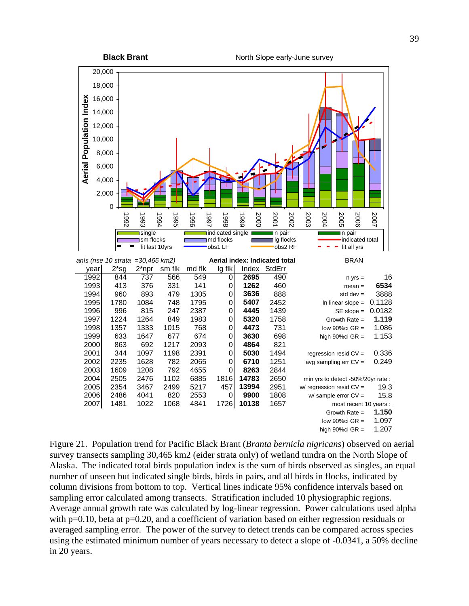

Figure 21. Population trend for Pacific Black Brant (*Branta bernicla nigricans*) observed on aerial survey transects sampling 30,465 km2 (eider strata only) of wetland tundra on the North Slope of Alaska. The indicated total birds population index is the sum of birds observed as singles, an equal number of unseen but indicated single birds, birds in pairs, and all birds in flocks, indicated by column divisions from bottom to top. Vertical lines indicate 95% confidence intervals based on sampling error calculated among transects. Stratification included 10 physiographic regions. Average annual growth rate was calculated by log-linear regression. Power calculations used alpha with p=0.10, beta at p=0.20, and a coefficient of variation based on either regression residuals or averaged sampling error. The power of the survey to detect trends can be compared across species using the estimated minimum number of years necessary to detect a slope of -0.0341, a 50% decline in 20 years.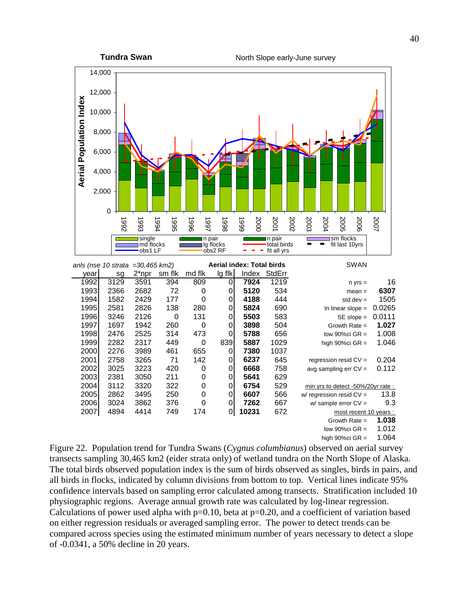**Tundra Swan** North Slope early-June survey



Figure 22. Population trend for Tundra Swans (*Cygnus columbianus*) observed on aerial survey transects sampling 30,465 km2 (eider strata only) of wetland tundra on the North Slope of Alaska. The total birds observed population index is the sum of birds observed as singles, birds in pairs, and all birds in flocks, indicated by column divisions from bottom to top. Vertical lines indicate 95% confidence intervals based on sampling error calculated among transects. Stratification included 10 physiographic regions. Average annual growth rate was calculated by log-linear regression. Calculations of power used alpha with  $p=0.10$ , beta at  $p=0.20$ , and a coefficient of variation based on either regression residuals or averaged sampling error. The power to detect trends can be compared across species using the estimated minimum number of years necessary to detect a slope of -0.0341, a 50% decline in 20 years.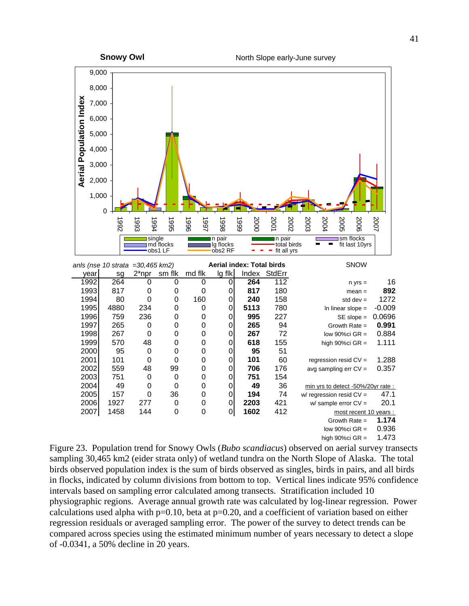

Figure 23. Population trend for Snowy Owls (*Bubo scandiacus*) observed on aerial survey transects sampling 30,465 km2 (eider strata only) of wetland tundra on the North Slope of Alaska. The total birds observed population index is the sum of birds observed as singles, birds in pairs, and all birds in flocks, indicated by column divisions from bottom to top. Vertical lines indicate 95% confidence intervals based on sampling error calculated among transects. Stratification included 10 physiographic regions. Average annual growth rate was calculated by log-linear regression. Power calculations used alpha with  $p=0.10$ , beta at  $p=0.20$ , and a coefficient of variation based on either regression residuals or averaged sampling error. The power of the survey to detect trends can be compared across species using the estimated minimum number of years necessary to detect a slope of -0.0341, a 50% decline in 20 years.